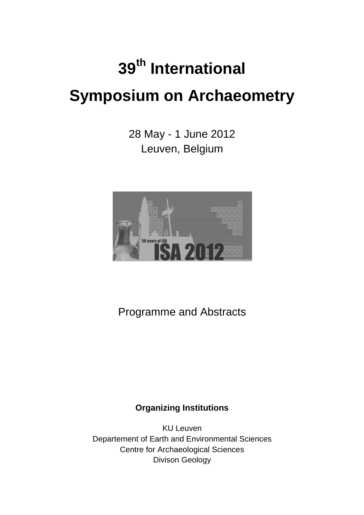# **39th International Symposium on Archaeometry**

28 May - 1 June 2012 Leuven, Belgium



Programme and Abstracts

## **Organizing Institutions**

KU Leuven Departement of Earth and Environmental Sciences Centre for Archaeological Sciences Divison Geology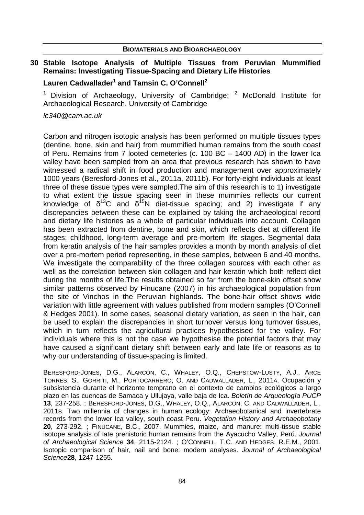## **30 Stable Isotope Analysis of Multiple Tissues from Peruvian Mummified Remains: Investigating Tissue-Spacing and Dietary Life Histories**

## **Lauren Cadwallader<sup>1</sup> and Tamsin C. O'Connell<sup>2</sup>**

<sup>1</sup> Division of Archaeology, University of Cambridge;  $2$  McDonald Institute for Archaeological Research, University of Cambridge

#### lc340@cam.ac.uk

Carbon and nitrogen isotopic analysis has been performed on multiple tissues types (dentine, bone, skin and hair) from mummified human remains from the south coast of Peru. Remains from 7 looted cemeteries (c. 100 BC – 1400 AD) in the lower Ica valley have been sampled from an area that previous research has shown to have witnessed a radical shift in food production and management over approximately 1000 years (Beresford-Jones et al., 2011a, 2011b). For forty-eight individuals at least three of these tissue types were sampled.The aim of this research is to 1) investigate to what extent the tissue spacing seen in these mummies reflects our current knowledge of  $\delta^{13}C$  and  $\delta^{15}N$  diet-tissue spacing; and 2) investigate if any discrepancies between these can be explained by taking the archaeological record and dietary life histories as a whole of particular individuals into account. Collagen has been extracted from dentine, bone and skin, which reflects diet at different life stages: childhood, long-term average and pre-mortem life stages. Segmental data from keratin analysis of the hair samples provides a month by month analysis of diet over a pre-mortem period representing, in these samples, between 6 and 40 months. We investigate the comparability of the three collagen sources with each other as well as the correlation between skin collagen and hair keratin which both reflect diet during the months of life.The results obtained so far from the bone-skin offset show similar patterns observed by Finucane (2007) in his archaeological population from the site of Vinchos in the Peruvian highlands. The bone-hair offset shows wide variation with little agreement with values published from modern samples (O'Connell & Hedges 2001). In some cases, seasonal dietary variation, as seen in the hair, can be used to explain the discrepancies in short turnover versus long turnover tissues, which in turn reflects the agricultural practices hypothesised for the valley. For individuals where this is not the case we hypothesise the potential factors that may have caused a significant dietary shift between early and late life or reasons as to why our understanding of tissue-spacing is limited.

BERESFORD-JONES, D.G., ALARCÓN, C., WHALEY, O.Q., CHEPSTOW-LUSTY, A.J., ARCE TORRES, S., GORRITI, M., PORTOCARRERO, O. AND CADWALLADER, L., 2011A. Ocupación y subsistencia durante el horizonte temprano en el contexto de cambios ecológicos a largo plazo en las cuencas de Samaca y Ullujaya, valle baja de Ica. Boletín de Arqueología PUCP **13**, 237-258. ; BERESFORD-JONES, D.G., WHALEY, O.Q., ALARCÓN, C. AND CADWALLADER, L., 2011B. Two millennia of changes in human ecology: Archaeobotanical and invertebrate records from the lower Ica valley, south coast Peru. Vegetation History and Archaeobotany **20**, 273-292. ; FINUCANE, B.C., 2007. Mummies, maize, and manure: multi-tissue stable isotope analysis of late prehistoric human remains from the Ayacucho Valley, Perú. Journal of Archaeological Science **34**, 2115-2124. ; O'CONNELL, T.C. AND HEDGES, R.E.M., 2001. Isotopic comparison of hair, nail and bone: modern analyses. Journal of Archaeological Science**28**, 1247-1255.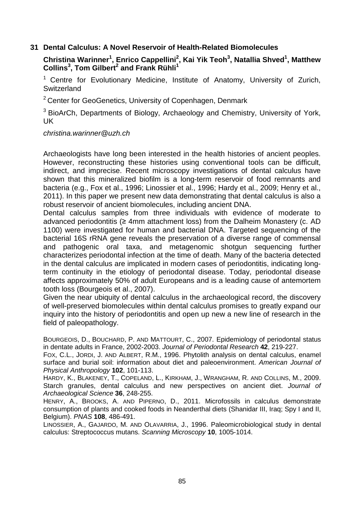## **31 Dental Calculus: A Novel Reservoir of Health-Related Biomolecules**

## **Christina Warinner<sup>1</sup> , Enrico Cappellini<sup>2</sup> , Kai Yik Teoh<sup>3</sup> , Natallia Shved<sup>1</sup> , Matthew Collins<sup>3</sup> , Tom Gilbert<sup>2</sup> and Frank Rühli<sup>1</sup>**

 $1$  Centre for Evolutionary Medicine, Institute of Anatomy, University of Zurich, **Switzerland** 

<sup>2</sup> Center for GeoGenetics, University of Copenhagen, Denmark

<sup>3</sup> BioArCh, Departments of Biology, Archaeology and Chemistry, University of York, UK

christina.warinner@uzh.ch

Archaeologists have long been interested in the health histories of ancient peoples. However, reconstructing these histories using conventional tools can be difficult, indirect, and imprecise. Recent microscopy investigations of dental calculus have shown that this mineralized biofilm is a long-term reservoir of food remnants and bacteria (e.g., Fox et al., 1996; Linossier et al., 1996; Hardy et al., 2009; Henry et al., 2011). In this paper we present new data demonstrating that dental calculus is also a robust reservoir of ancient biomolecules, including ancient DNA.

Dental calculus samples from three individuals with evidence of moderate to advanced periodontitis (≥ 4mm attachment loss) from the Dalheim Monastery (c. AD 1100) were investigated for human and bacterial DNA. Targeted sequencing of the bacterial 16S rRNA gene reveals the preservation of a diverse range of commensal and pathogenic oral taxa, and metagenomic shotgun sequencing further characterizes periodontal infection at the time of death. Many of the bacteria detected in the dental calculus are implicated in modern cases of periodontitis, indicating longterm continuity in the etiology of periodontal disease. Today, periodontal disease affects approximately 50% of adult Europeans and is a leading cause of antemortem tooth loss (Bourgeois et al., 2007).

Given the near ubiquity of dental calculus in the archaeological record, the discovery of well-preserved biomolecules within dental calculus promises to greatly expand our inquiry into the history of periodontitis and open up new a new line of research in the field of paleopathology.

BOURGEOIS, D., BOUCHARD, P. AND MATTOURT, C., 2007. Epidemiology of periodontal status in dentate adults in France, 2002-2003. Journal of Periodontal Research **42**, 219-227.

FOX, C.L., JORDI, J. AND ALBERT, R.M., 1996. Phytolith analysis on dental calculus, enamel surface and burial soil: information about diet and paleoenvironment. American Journal of Physical Anthropology **102**, 101-113.

HARDY, K., BLAKENEY, T., COPELAND, L., KIRKHAM, J., WRANGHAM, R. AND COLLINS, M., 2009. Starch granules, dental calculus and new perspectives on ancient diet. Journal of Archaeological Science **36**, 248-255.

HENRY, A., BROOKS, A. AND PIPERNO, D., 2011. Microfossils in calculus demonstrate consumption of plants and cooked foods in Neanderthal diets (Shanidar III, Iraq; Spy I and II, Belgium). PNAS **108**, 486-491.

LINOSSIER, A., GAJARDO, M. AND OLAVARRIA, J., 1996. Paleomicrobiological study in dental calculus: Streptococcus mutans. Scanning Microscopy **10**, 1005-1014.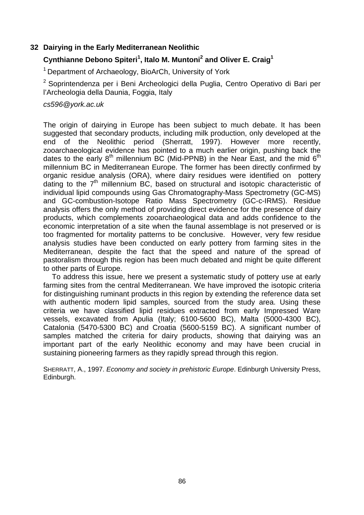## **32 Dairying in the Early Mediterranean Neolithic**

## **Cynthianne Debono Spiteri<sup>1</sup> , Italo M. Muntoni<sup>2</sup> and Oliver E. Craig<sup>1</sup>**

<sup>1</sup> Department of Archaeology, BioArCh, University of York

<sup>2</sup> Soprintendenza per i Beni Archeologici della Puglia, Centro Operativo di Bari per l'Archeologia della Daunia, Foggia, Italy

cs596@york.ac.uk

The origin of dairying in Europe has been subject to much debate. It has been suggested that secondary products, including milk production, only developed at the end of the Neolithic period (Sherratt, 1997). However more recently, zooarchaeological evidence has pointed to a much earlier origin, pushing back the dates to the early  $8<sup>th</sup>$  millennium BC (Mid-PPNB) in the Near East, and the mid  $6<sup>th</sup>$ millennium BC in Mediterranean Europe. The former has been directly confirmed by organic residue analysis (ORA), where dairy residues were identified on pottery dating to the  $7<sup>th</sup>$  millennium BC, based on structural and isotopic characteristic of individual lipid compounds using Gas Chromatography-Mass Spectrometry (GC-MS) and GC-combustion-Isotope Ratio Mass Spectrometry (GC-c-IRMS). Residue analysis offers the only method of providing direct evidence for the presence of dairy products, which complements zooarchaeological data and adds confidence to the economic interpretation of a site when the faunal assemblage is not preserved or is too fragmented for mortality patterns to be conclusive. However, very few residue analysis studies have been conducted on early pottery from farming sites in the Mediterranean, despite the fact that the speed and nature of the spread of pastoralism through this region has been much debated and might be quite different to other parts of Europe.

To address this issue, here we present a systematic study of pottery use at early farming sites from the central Mediterranean. We have improved the isotopic criteria for distinguishing ruminant products in this region by extending the reference data set with authentic modern lipid samples, sourced from the study area. Using these criteria we have classified lipid residues extracted from early Impressed Ware vessels, excavated from Apulia (Italy; 6100-5600 BC), Malta (5000-4300 BC), Catalonia (5470-5300 BC) and Croatia (5600-5159 BC). A significant number of samples matched the criteria for dairy products, showing that dairying was an important part of the early Neolithic economy and may have been crucial in sustaining pioneering farmers as they rapidly spread through this region.

SHERRATT, A., 1997. Economy and society in prehistoric Europe. Edinburgh University Press, Edinburgh.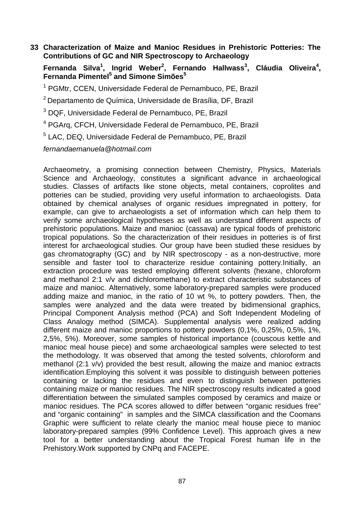**33 Characterization of Maize and Manioc Residues in Prehistoric Potteries: The Contributions of GC and NIR Spectroscopy to Archaeology** 

**Fernanda Silva<sup>1</sup> , Ingrid Weber<sup>2</sup> , Fernando Hallwass<sup>3</sup> , Cláudia Oliveira<sup>4</sup> , Fernanda Pimentel<sup>5</sup> and Simone Simões<sup>5</sup>**

<sup>1</sup> PGMtr, CCEN, Universidade Federal de Pernambuco, PE, Brazil

<sup>2</sup>Departamento de Química, Universidade de Brasília, DF, Brazil

<sup>3</sup> DQF, Universidade Federal de Pernambuco, PE, Brazil

- 4 PGArq, CFCH, Universidade Federal de Pernambuco, PE, Brazil
- 5 LAC, DEQ, Universidade Federal de Pernambuco, PE, Brazil

fernandaemanuela@hotmail.com

Archaeometry, a promising connection between Chemistry, Physics, Materials Science and Archaeology, constitutes a significant advance in archaeological studies. Classes of artifacts like stone objects, metal containers, coprolites and potteries can be studied, providing very useful information to archaeologists. Data obtained by chemical analyses of organic residues impregnated in pottery, for example, can give to archaeologists a set of information which can help them to verify some archaeological hypotheses as well as understand different aspects of prehistoric populations. Maize and manioc (cassava) are typical foods of prehistoric tropical populations. So the characterization of their residues in potteries is of first interest for archaeological studies. Our group have been studied these residues by gas chromatography (GC) and by NIR spectroscopy - as a non-destructive, more sensible and faster tool to characterize residue containing pottery.Initially, an extraction procedure was tested employing different solvents (hexane, chloroform and methanol 2:1 v/v and dichloromethane) to extract characteristic substances of maize and manioc. Alternatively, some laboratory-prepared samples were produced adding maize and manioc, in the ratio of 10 wt %, to pottery powders. Then, the samples were analyzed and the data were treated by bidimensional graphics, Principal Component Analysis method (PCA) and Soft Independent Modeling of Class Analogy method (SIMCA). Supplemental analysis were realized adding different maize and manioc proportions to pottery powders (0,1%, 0,25%, 0,5%, 1%, 2,5%, 5%). Moreover, some samples of historical importance (couscous kettle and manioc meal house piece) and some archaeological samples were selected to test the methodology. It was observed that among the tested solvents, chloroform and methanol (2:1 v/v) provided the best result, allowing the maize and manioc extracts identification.Employing this solvent it was possible to distinguish between potteries containing or lacking the residues and even to distinguish between potteries containing maize or manioc residues. The NIR spectroscopy results indicated a good differentiation between the simulated samples composed by ceramics and maize or manioc residues. The PCA scores allowed to differ between "organic residues free" and "organic containing" in samples and the SIMCA classification and the Coomans Graphic were sufficient to relate clearly the manioc meal house piece to manioc laboratory-prepared samples (99% Confidence Level). This approach gives a new tool for a better understanding about the Tropical Forest human life in the Prehistory.Work supported by CNPq and FACEPE.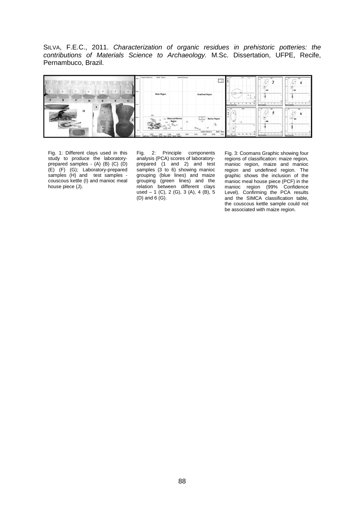SILVA, F.E.C., 2011. Characterization of organic residues in prehistoric potteries: the contributions of Materials Science to Archaeology. M.Sc. Dissertation, UFPE, Recife, Pernambuco, Brazil.

| ι<br>6<br>$T_2$<br>R<br>$\mathbf{D}$<br>G | tist.<br>0.03<br>0.02 | <b>Sample Distances</b><br>Model - Maniec<br>Sample Distance In<br><b>Malze Region</b>  | - C<br><b>Undefined Region</b>                                                                              | <b>band</b><br>$-25.00$<br>$\overline{v}$<br>Ŧ<br>$\overline{a}$<br>$\overline{a}$<br><b>With The Low IP&amp; IR</b> | Bd<br>$\overline{\phantom{a}}$<br>-27<br>$\overline{a}$<br><b>Rid To Lay MLN</b>   | <br>$\cdot$ $\cdot$<br><b>RTATTLING MLN</b> |
|-------------------------------------------|-----------------------|-----------------------------------------------------------------------------------------|-------------------------------------------------------------------------------------------------------------|----------------------------------------------------------------------------------------------------------------------|------------------------------------------------------------------------------------|---------------------------------------------|
| н<br>                                     | 4.61<br><b>CILE</b>   | 853<br>(1) Malze and Manioc<br><b>PE Mindai 1 Model Marce</b><br>Model 7 Mixdel - Mario | $-101$<br><b>Manioc Region</b><br>$-0.72$<br>Model - Major<br>Sample Distance Is<br>0.014<br>0.018<br>0.018 | <b>Bars</b><br>.<br>z<br><b>River McLear Elk, N</b>                                                                  | m <sup>100</sup><br>$\overline{\phantom{a}}$<br>-<br>$\cdots$<br><b>WINDOW WAS</b> | Day.<br>Day.<br><b>ROLL FOR TALK</b>        |

Fig. 1: Different clays used in this study to produce the laboratoryprepared samples - (A) (B) (C) (D) (E) (F) (G); Laboratory-prepared samples (H) and test samples couscous kettle (I) and manioc meal house piece (J).

Fig. 2: Principle components analysis (PCA) scores of laboratoryprepared (1 and 2) and test samples (3 to 6) showing manioc grouping (blue lines) and maize grouping (green lines) and the relation between different clays used  $-1$  (C), 2 (G), 3 (A), 4 (B), 5  $(D)$  and  $6$   $(G)$ .

Fig. 3: Coomans Graphic showing four regions of classification: maize region, manioc region, maize and manioc region and undefined region. The graphic shows the inclusion of the manioc meal house piece (PCF) in the manioc region (99% Confidence Level). Confirming the PCA results and the SIMCA classification table, the couscous kettle sample could not be associated with maize region.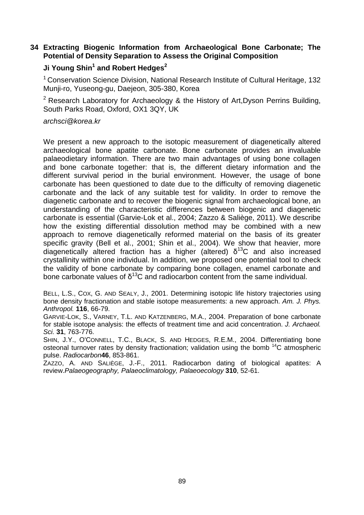## **34 Extracting Biogenic Information from Archaeological Bone Carbonate; The Potential of Density Separation to Assess the Original Composition**

## **Ji Young Shin<sup>1</sup> and Robert Hedges<sup>2</sup>**

 $1$  Conservation Science Division, National Research Institute of Cultural Heritage, 132 Munji-ro, Yuseong-gu, Daejeon, 305-380, Korea

<sup>2</sup> Research Laboratory for Archaeology & the History of Art, Dyson Perrins Building, South Parks Road, Oxford, OX1 3QY, UK

#### archsci@korea.kr

We present a new approach to the isotopic measurement of diagenetically altered archaeological bone apatite carbonate. Bone carbonate provides an invaluable palaeodietary information. There are two main advantages of using bone collagen and bone carbonate together: that is, the different dietary information and the different survival period in the burial environment. However, the usage of bone carbonate has been questioned to date due to the difficulty of removing diagenetic carbonate and the lack of any suitable test for validity. In order to remove the diagenetic carbonate and to recover the biogenic signal from archaeological bone, an understanding of the characteristic differences between biogenic and diagenetic carbonate is essential (Garvie-Lok et al., 2004; Zazzo & Saliège, 2011). We describe how the existing differential dissolution method may be combined with a new approach to remove diagenetically reformed material on the basis of its greater specific gravity (Bell et al., 2001; Shin et al., 2004). We show that heavier, more diagenetically altered fraction has a higher (altered)  $\delta^{13}$ C and also increased crystallinity within one individual. In addition, we proposed one potential tool to check the validity of bone carbonate by comparing bone collagen, enamel carbonate and bone carbonate values of  $\delta^{13}C$  and radiocarbon content from the same individual.

BELL, L.S., COX, G. AND SEALY, J., 2001. Determining isotopic life history trajectories using bone density fractionation and stable isotope measurements: a new approach. Am. J. Phys. Anthropol. **116**, 66-79.

GARVIE-LOK, S., VARNEY, T.L. AND KATZENBERG, M.A., 2004. Preparation of bone carbonate for stable isotope analysis: the effects of treatment time and acid concentration. J. Archaeol. Sci. **31**, 763-776.

SHIN, J.Y., O'CONNELL, T.C., BLACK, S. AND HEDGES, R.E.M., 2004. Differentiating bone osteonal turnover rates by density fractionation; validation using the bomb <sup>14</sup>C atmospheric pulse. Radiocarbon**46**, 853-861.

ZAZZO, A. AND SALIÈGE, J.-F., 2011. Radiocarbon dating of biological apatites: A review.Palaeogeography, Palaeoclimatology, Palaeoecology **310**, 52-61.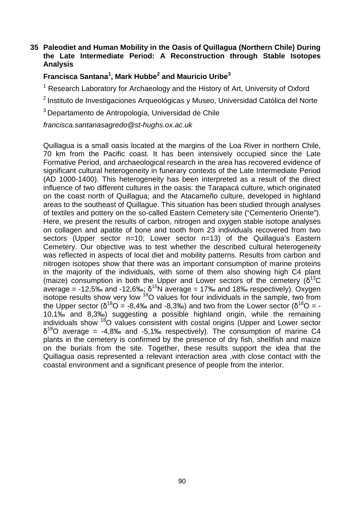## **35 Paleodiet and Human Mobility in the Oasis of Quillagua (Northern Chile) During the Late Intermediate Period: A Reconstruction through Stable Isotopes Analysis**

## **Francisca Santana<sup>1</sup> , Mark Hubbe<sup>2</sup> and Mauricio Uribe<sup>3</sup>**

<sup>1</sup> Research Laboratory for Archaeology and the History of Art, University of Oxford

<sup>2</sup> Instituto de Investigaciones Arqueológicas y Museo, Universidad Católica del Norte

<sup>3</sup> Departamento de Antropología, Universidad de Chile

francisca.santanasagredo@st-hughs.ox.ac.uk

Quillagua is a small oasis located at the margins of the Loa River in northern Chile, 70 km from the Pacific coast. It has been intensively occupied since the Late Formative Period, and archaeological research in the area has recovered evidence of significant cultural heterogeneity in funerary contexts of the Late Intermediate Period (AD 1000-1400). This heterogeneity has been interpreted as a result of the direct influence of two different cultures in the oasis: the Tarapacá culture, which originated on the coast north of Quillagua; and the Atacameño culture, developed in highland areas to the southeast of Quillague. This situation has been studied through analyses of textiles and pottery on the so-called Eastern Cemetery site ("Cementerio Oriente"). Here, we present the results of carbon, nitrogen and oxygen stable isotope analyses on collagen and apatite of bone and tooth from 23 individuals recovered from two sectors (Upper sector n=10; Lower sector n=13) of the Quillagua's Eastern Cemetery. Our objective was to test whether the described cultural heterogeneity was reflected in aspects of local diet and mobility patterns. Results from carbon and nitrogen isotopes show that there was an important consumption of marine proteins in the majority of the individuals, with some of them also showing high C4 plant (maize) consumption in both the Upper and Lower sectors of the cemetery  $(\delta^{13}C)$ average = -12,5‰ and -12,6‰;  $\delta^{15}$ N average = 17‰ and 18‰ respectively). Oxygen isotope results show very low <sup>18</sup>O values for four individuals in the sample, two from the Upper sector ( $\delta^{18}O = -8,4\%$  and -8,3‰) and two from the Lower sector ( $\delta^{18}O = -1$ 10,1‰ and 8,3‰) suggesting a possible highland origin, while the remaining individuals show <sup>18</sup>O values consistent with costal origins (Upper and Lower sector  $\delta^{18}$ O average = -4,8‰ and -5,1‰ respectively). The consumption of marine C4 plants in the cemetery is confirmed by the presence of dry fish, shellfish and maize on the burials from the site. Together, these results support the idea that the Quillagua oasis represented a relevant interaction area ,with close contact with the coastal environment and a significant presence of people from the interior.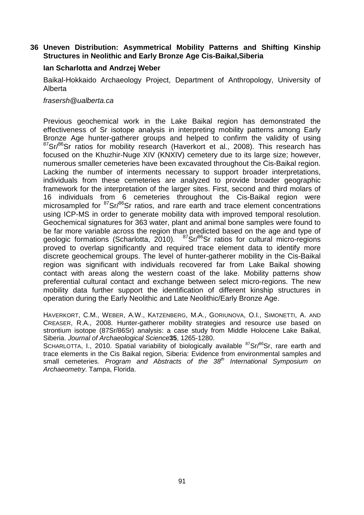## **36 Uneven Distribution: Asymmetrical Mobility Patterns and Shifting Kinship Structures in Neolithic and Early Bronze Age Cis-Baikal,Siberia**

## **Ian Scharlotta and Andrzej Weber**

Baikal-Hokkaido Archaeology Project, Department of Anthropology, University of Alberta

#### frasersh@ualberta.ca

Previous geochemical work in the Lake Baikal region has demonstrated the effectiveness of Sr isotope analysis in interpreting mobility patterns among Early Bronze Age hunter-gatherer groups and helped to confirm the validity of using  $87$ Sr/ $86$ Sr ratios for mobility research (Haverkort et al., 2008). This research has focused on the Khuzhir-Nuge XIV (KNXIV) cemetery due to its large size; however, numerous smaller cemeteries have been excavated throughout the Cis-Baikal region. Lacking the number of interments necessary to support broader interpretations, individuals from these cemeteries are analyzed to provide broader geographic framework for the interpretation of the larger sites. First, second and third molars of 16 individuals from 6 cemeteries throughout the Cis-Baikal region were microsampled for <sup>87</sup>Sr/<sup>86</sup>Sr ratios, and rare earth and trace element concentrations using ICP-MS in order to generate mobility data with improved temporal resolution. Geochemical signatures for 363 water, plant and animal bone samples were found to be far more variable across the region than predicted based on the age and type of geologic formations (Scharlotta, 2010). <sup>87</sup>Sr<sup>/86</sup>Sr ratios for cultural micro-regions proved to overlap significantly and required trace element data to identify more discrete geochemical groups. The level of hunter-gatherer mobility in the Cis-Baikal region was significant with individuals recovered far from Lake Baikal showing contact with areas along the western coast of the lake. Mobility patterns show preferential cultural contact and exchange between select micro-regions. The new mobility data further support the identification of different kinship structures in operation during the Early Neolithic and Late Neolithic/Early Bronze Age.

HAVERKORT, C.M., WEBER, A.W., KATZENBERG, M.A., GORIUNOVA, O.I., SIMONETTI, A. AND CREASER, R.A., 2008. Hunter-gatherer mobility strategies and resource use based on strontium isotope (87Sr/86Sr) analysis: a case study from Middle Holocene Lake Baikal, Siberia. Journal of Archaeological Science**35**, 1265-1280.

SCHARLOTTA, I., 2010. Spatial variability of biologically available <sup>87</sup>Sr/<sup>86</sup>Sr, rare earth and trace elements in the Cis Baikal region, Siberia: Evidence from environmental samples and small cemeteries. Program and Abstracts of the 38<sup>th</sup> International Symposium on Archaeometry. Tampa, Florida.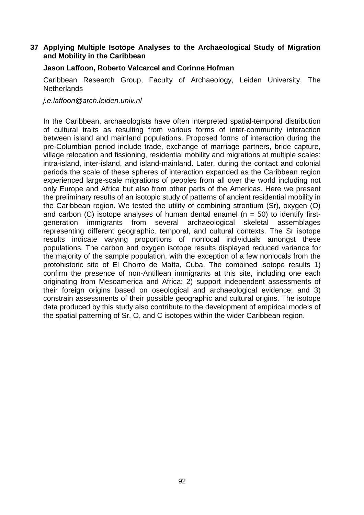## **37 Applying Multiple Isotope Analyses to the Archaeological Study of Migration and Mobility in the Caribbean**

## **Jason Laffoon, Roberto Valcarcel and Corinne Hofman**

Caribbean Research Group, Faculty of Archaeology, Leiden University, The **Netherlands** 

j.e.laffoon@arch.leiden.univ.nl

In the Caribbean, archaeologists have often interpreted spatial-temporal distribution of cultural traits as resulting from various forms of inter-community interaction between island and mainland populations. Proposed forms of interaction during the pre-Columbian period include trade, exchange of marriage partners, bride capture, village relocation and fissioning, residential mobility and migrations at multiple scales: intra-island, inter-island, and island-mainland. Later, during the contact and colonial periods the scale of these spheres of interaction expanded as the Caribbean region experienced large-scale migrations of peoples from all over the world including not only Europe and Africa but also from other parts of the Americas. Here we present the preliminary results of an isotopic study of patterns of ancient residential mobility in the Caribbean region. We tested the utility of combining strontium (Sr), oxygen (O) and carbon (C) isotope analyses of human dental enamel ( $n = 50$ ) to identify firstgeneration immigrants from several archaeological skeletal assemblages representing different geographic, temporal, and cultural contexts. The Sr isotope results indicate varying proportions of nonlocal individuals amongst these populations. The carbon and oxygen isotope results displayed reduced variance for the majority of the sample population, with the exception of a few nonlocals from the protohistoric site of El Chorro de Maíta, Cuba. The combined isotope results 1) confirm the presence of non-Antillean immigrants at this site, including one each originating from Mesoamerica and Africa; 2) support independent assessments of their foreign origins based on oseological and archaeological evidence; and 3) constrain assessments of their possible geographic and cultural origins. The isotope data produced by this study also contribute to the development of empirical models of the spatial patterning of Sr, O, and C isotopes within the wider Caribbean region.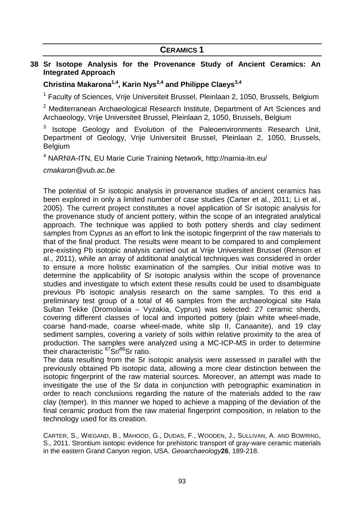#### **38 Sr Isotope Analysis for the Provenance Study of Ancient Ceramics: An Integrated Approach**

## **Christina Makarona1,4, Karin Nys2,4 and Philippe Claeys3,4**

<sup>1</sup> Faculty of Sciences, Vrije Universiteit Brussel, Pleinlaan 2, 1050, Brussels, Belgium

 $2$  Mediterranean Archaeological Research Institute, Department of Art Sciences and Archaeology, Vrije Universiteit Brussel, Pleinlaan 2, 1050, Brussels, Belgium

3 Isotope Geology and Evolution of the Paleoenvironments Research Unit, Department of Geology, Vrije Universiteit Brussel, Pleinlaan 2, 1050, Brussels, Belgium

4 NARNIA-ITN, EU Marie Curie Training Network, http://narnia-itn.eu/

cmakaron@vub.ac.be

The potential of Sr isotopic analysis in provenance studies of ancient ceramics has been explored in only a limited number of case studies (Carter et al., 2011; Li et al., 2005). The current project constitutes a novel application of Sr isotopic analysis for the provenance study of ancient pottery, within the scope of an integrated analytical approach. The technique was applied to both pottery sherds and clay sediment samples from Cyprus as an effort to link the isotopic fingerprint of the raw materials to that of the final product. The results were meant to be compared to and complement pre-existing Pb isotopic analysis carried out at Vrije Universiteit Brussel (Renson et al., 2011), while an array of additional analytical techniques was considered in order to ensure a more holistic examination of the samples. Our initial motive was to determine the applicability of Sr isotopic analysis within the scope of provenance studies and investigate to which extent these results could be used to disambiguate previous Pb isotopic analysis research on the same samples. To this end a preliminary test group of a total of 46 samples from the archaeological site Hala Sultan Tekke (Dromolaxia – Vyzakia, Cyprus) was selected: 27 ceramic sherds, covering different classes of local and imported pottery (plain white wheel-made, coarse hand-made, coarse wheel-made, white slip II, Canaanite), and 19 clay sediment samples, covering a variety of soils within relative proximity to the area of production. The samples were analyzed using a MC-ICP-MS in order to determine their characteristic <sup>87</sup>Sr/<sup>86</sup>Sr ratio.

The data resulting from the Sr isotopic analysis were assessed in parallel with the previously obtained Pb isotopic data, allowing a more clear distinction between the isotopic fingerprint of the raw material sources. Moreover, an attempt was made to investigate the use of the Sr data in conjunction with petrographic examination in order to reach conclusions regarding the nature of the materials added to the raw clay (temper). In this manner we hoped to achieve a mapping of the deviation of the final ceramic product from the raw material fingerprint composition, in relation to the technology used for its creation.

CARTER, S., WIEGAND, B., MAHOOD, G., DUDAS, F., WOODEN, J., SULLIVAN, A. AND BOWRING, S., 2011. Strontium isotopic evidence for prehistoric transport of gray-ware ceramic materials in the eastern Grand Canyon region, USA. Geoarchaeology**26**, 189-218.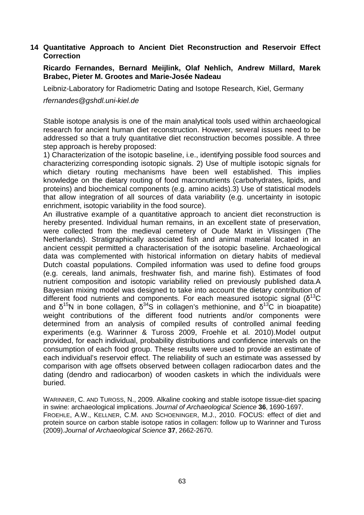## **14 Quantitative Approach to Ancient Diet Reconstruction and Reservoir Effect Correction**

#### **Ricardo Fernandes, Bernard Meijlink, Olaf Nehlich, Andrew Millard, Marek Brabec, Pieter M. Grootes and Marie-Josée Nadeau**

Leibniz-Laboratory for Radiometric Dating and Isotope Research, Kiel, Germany

rfernandes@gshdl.uni-kiel.de

Stable isotope analysis is one of the main analytical tools used within archaeological research for ancient human diet reconstruction. However, several issues need to be addressed so that a truly quantitative diet reconstruction becomes possible. A three step approach is hereby proposed:

1) Characterization of the isotopic baseline, i.e., identifying possible food sources and characterizing corresponding isotopic signals. 2) Use of multiple isotopic signals for which dietary routing mechanisms have been well established. This implies knowledge on the dietary routing of food macronutrients (carbohydrates, lipids, and proteins) and biochemical components (e.g. amino acids).3) Use of statistical models that allow integration of all sources of data variability (e.g. uncertainty in isotopic enrichment, isotopic variability in the food source).

An illustrative example of a quantitative approach to ancient diet reconstruction is hereby presented. Individual human remains, in an excellent state of preservation, were collected from the medieval cemetery of Oude Markt in Vlissingen (The Netherlands). Stratigraphically associated fish and animal material located in an ancient cesspit permitted a characterisation of the isotopic baseline. Archaeological data was complemented with historical information on dietary habits of medieval Dutch coastal populations. Compiled information was used to define food groups (e.g. cereals, land animals, freshwater fish, and marine fish). Estimates of food nutrient composition and isotopic variability relied on previously published data.A Bayesian mixing model was designed to take into account the dietary contribution of different food nutrients and components. For each measured isotopic signal ( $\delta^{13}C$ and  $\delta^{15}N$  in bone collagen,  $\delta^{34}S$  in collagen's methionine, and  $\delta^{13}C$  in bioapatite) weight contributions of the different food nutrients and/or components were determined from an analysis of compiled results of controlled animal feeding experiments (e.g. Warinner & Tuross 2009, Froehle et al. 2010).Model output provided, for each individual, probability distributions and confidence intervals on the consumption of each food group. These results were used to provide an estimate of each individual's reservoir effect. The reliability of such an estimate was assessed by comparison with age offsets observed between collagen radiocarbon dates and the dating (dendro and radiocarbon) of wooden caskets in which the individuals were buried.

WARINNER, C. AND TUROSS, N., 2009. Alkaline cooking and stable isotope tissue-diet spacing in swine: archaeological implications. Journal of Archaeological Science **36**, 1690-1697. FROEHLE, A.W., KELLNER, C.M. AND SCHOENINGER, M.J., 2010. FOCUS: effect of diet and protein source on carbon stable isotope ratios in collagen: follow up to Warinner and Tuross (2009).Journal of Archaeological Science **37**, 2662-2670.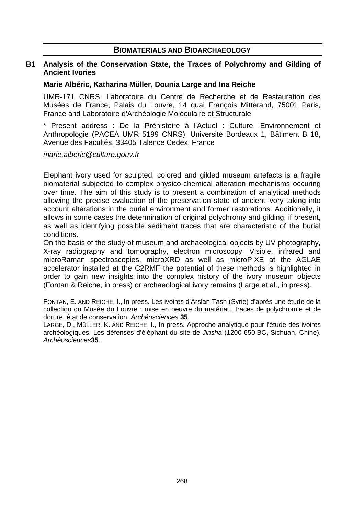## **BIOMATERIALS AND BIOARCHAEOLOGY**

#### **B1 Analysis of the Conservation State, the Traces of Polychromy and Gilding of Ancient Ivories**

#### **Marie Albéric, Katharina Mϋller, Dounia Large and Ina Reiche**

UMR-171 CNRS, Laboratoire du Centre de Recherche et de Restauration des Musées de France, Palais du Louvre, 14 quai François Mitterand, 75001 Paris, France and Laboratoire d'Archéologie Moléculaire et Structurale

\* Present address : De la Préhistoire à l'Actuel : Culture, Environnement et Anthropologie (PACEA UMR 5199 CNRS), Université Bordeaux 1, Bâtiment B 18, Avenue des Facultés, 33405 Talence Cedex, France

marie.alberic@culture.gouv.fr

Elephant ivory used for sculpted, colored and gilded museum artefacts is a fragile biomaterial subjected to complex physico-chemical alteration mechanisms occuring over time. The aim of this study is to present a combination of analytical methods allowing the precise evaluation of the preservation state of ancient ivory taking into account alterations in the burial environment and former restorations. Additionally, it allows in some cases the determination of original polychromy and gilding, if present, as well as identifying possible sediment traces that are characteristic of the burial conditions.

On the basis of the study of museum and archaeological objects by UV photography, X-ray radiography and tomography, electron microscopy, Visible, infrared and microRaman spectroscopies, microXRD as well as microPIXE at the AGLAE accelerator installed at the C2RMF the potential of these methods is highlighted in order to gain new insights into the complex history of the ivory museum objects (Fontan & Reiche, in press) or archaeological ivory remains (Large et al., in press).

FONTAN, E. AND REICHE, I., In press. Les ivoires d'Arslan Tash (Syrie) d'après une étude de la collection du Musée du Louvre : mise en oeuvre du matériau, traces de polychromie et de dorure, état de conservation. Archéosciences **35**.

LARGE, D., MÜLLER, K. AND REICHE, I., In press. Approche analytique pour l'étude des ivoires archéologiques. Les défenses d'éléphant du site de Jinsha (1200-650 BC, Sichuan, Chine). Archéosciences**35**.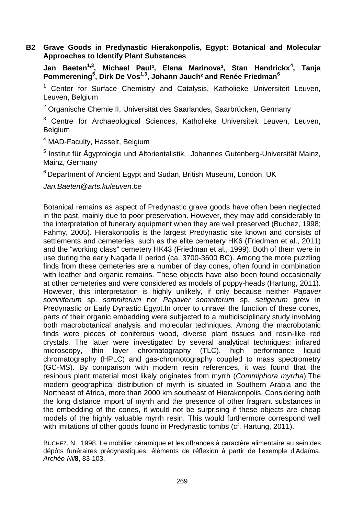## **B2 Grave Goods in Predynastic Hierakonpolis, Egypt: Botanical and Molecular Approaches to Identify Plant Substances**

**Jan Baeten1,3, Michael Paul², Elena Marinova³, Stan Hendrickx<sup>4</sup> , Tanja Pommerening<sup>5</sup> , Dirk De Vos1,3, Johann Jauch² and Renée Friedman<sup>6</sup>**

<sup>1</sup> Center for Surface Chemistry and Catalysis, Katholieke Universiteit Leuven, Leuven, Belgium

<sup>2</sup> Organische Chemie II, Universität des Saarlandes, Saarbrücken, Germany

<sup>3</sup> Centre for Archaeological Sciences, Katholieke Universiteit Leuven, Leuven, Belgium

<sup>4</sup> MAD-Faculty, Hasselt, Belgium

<sup>5</sup> Institut für Ägyptologie und Altorientalistik, Johannes Gutenberg-Universität Mainz, Mainz, Germany

 $6$  Department of Ancient Egypt and Sudan, British Museum, London, UK

Jan.Baeten@arts.kuleuven.be

Botanical remains as aspect of Predynastic grave goods have often been neglected in the past, mainly due to poor preservation. However, they may add considerably to the interpretation of funerary equipment when they are well preserved (Buchez, 1998; Fahmy, 2005). Hierakonpolis is the largest Predynastic site known and consists of settlements and cemeteries, such as the elite cemetery HK6 (Friedman et al., 2011) and the "working class" cemetery HK43 (Friedman et al., 1999). Both of them were in use during the early Naqada II period (ca. 3700-3600 BC). Among the more puzzling finds from these cemeteries are a number of clay cones, often found in combination with leather and organic remains. These objects have also been found occasionally at other cemeteries and were considered as models of poppy-heads (Hartung, 2011). However, this interpretation is highly unlikely, if only because neither Papaver somniferum sp. somniferum nor Papaver somniferum sp. setigerum grew in Predynastic or Early Dynastic Egypt.In order to unravel the function of these cones, parts of their organic embedding were subjected to a multidisciplinary study involving both macrobotanical analysis and molecular techniques. Among the macrobotanic finds were pieces of coniferous wood, diverse plant tissues and resin-like red crystals. The latter were investigated by several analytical techniques: infrared microscopy, thin layer chromatography (TLC), high performance liquid chromatography (HPLC) and gas-chromotography coupled to mass spectrometry (GC-MS). By comparison with modern resin references, it was found that the resinous plant material most likely originates from myrrh (Commiphora myrrha).The modern geographical distribution of myrrh is situated in Southern Arabia and the Northeast of Africa, more than 2000 km southeast of Hierakonpolis. Considering both the long distance import of myrrh and the presence of other fragrant substances in the embedding of the cones, it would not be surprising if these objects are cheap models of the highly valuable myrrh resin. This would furthermore correspond well with imitations of other goods found in Predynastic tombs (cf. Hartung, 2011).

BUCHEZ, N., 1998. Le mobilier céramique et les offrandes à caractère alimentaire au sein des dépôts funéraires prédynastiques: éléments de réflexion à partir de l'exemple d'Adaïma. Archéo-Nil**8**, 83-103.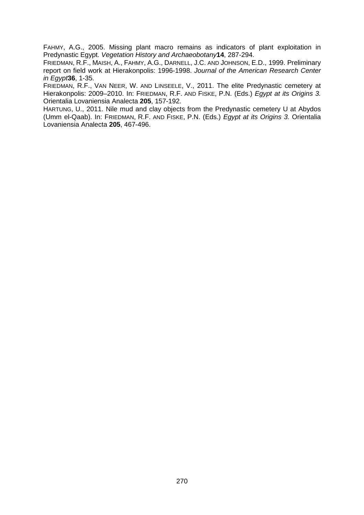FAHMY, A.G., 2005. Missing plant macro remains as indicators of plant exploitation in Predynastic Egypt. Vegetation History and Archaeobotany**14**, 287-294.

FRIEDMAN, R.F., MAISH, A., FAHMY, A.G., DARNELL, J.C. AND JOHNSON, E.D., 1999. Preliminary report on field work at Hierakonpolis: 1996-1998. Journal of the American Research Center in Egypt**36**, 1-35.

FRIEDMAN, R.F., VAN NEER, W. AND LINSEELE, V., 2011. The elite Predynastic cemetery at Hierakonpolis: 2009–2010. In: FRIEDMAN, R.F. AND FISKE, P.N. (Eds.) Egypt at its Origins 3. Orientalia Lovaniensia Analecta **205**, 157-192.

HARTUNG, U., 2011. Nile mud and clay objects from the Predynastic cemetery U at Abydos (Umm el-Qaab). In: FRIEDMAN, R.F. AND FISKE, P.N. (Eds.) Egypt at its Origins 3. Orientalia Lovaniensia Analecta **205**, 467-496.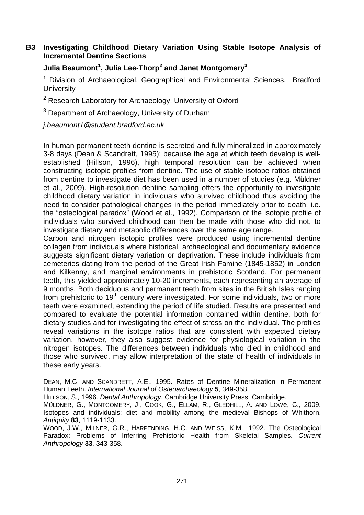## **B3 Investigating Childhood Dietary Variation Using Stable Isotope Analysis of Incremental Dentine Sections**

## **Julia Beaumont<sup>1</sup> , Julia Lee-Thorp<sup>2</sup> and Janet Montgomery<sup>3</sup>**

<sup>1</sup> Division of Archaeological, Geographical and Environmental Sciences, Bradford **University** 

<sup>2</sup> Research Laboratory for Archaeology, University of Oxford

 $3$  Department of Archaeology, University of Durham

j.beaumont1@student.bradford.ac.uk

In human permanent teeth dentine is secreted and fully mineralized in approximately 3-8 days (Dean & Scandrett, 1995): because the age at which teeth develop is wellestablished (Hillson, 1996), high temporal resolution can be achieved when constructing isotopic profiles from dentine. The use of stable isotope ratios obtained from dentine to investigate diet has been used in a number of studies (e.g. Müldner et al., 2009). High-resolution dentine sampling offers the opportunity to investigate childhood dietary variation in individuals who survived childhood thus avoiding the need to consider pathological changes in the period immediately prior to death, i.e. the "osteological paradox" (Wood et al., 1992). Comparison of the isotopic profile of individuals who survived childhood can then be made with those who did not, to investigate dietary and metabolic differences over the same age range.

Carbon and nitrogen isotopic profiles were produced using incremental dentine collagen from individuals where historical, archaeological and documentary evidence suggests significant dietary variation or deprivation. These include individuals from cemeteries dating from the period of the Great Irish Famine (1845-1852) in London and Kilkenny, and marginal environments in prehistoric Scotland. For permanent teeth, this yielded approximately 10-20 increments, each representing an average of 9 months. Both deciduous and permanent teeth from sites in the British Isles ranging from prehistoric to  $19<sup>th</sup>$  century were investigated. For some individuals, two or more teeth were examined, extending the period of life studied. Results are presented and compared to evaluate the potential information contained within dentine, both for dietary studies and for investigating the effect of stress on the individual. The profiles reveal variations in the isotope ratios that are consistent with expected dietary variation, however, they also suggest evidence for physiological variation in the nitrogen isotopes. The differences between individuals who died in childhood and those who survived, may allow interpretation of the state of health of individuals in these early years.

DEAN, M.C. AND SCANDRETT, A.E., 1995. Rates of Dentine Mineralization in Permanent Human Teeth. International Journal of Osteoarchaeology **5**, 349-358.

HILLSON, S., 1996. Dental Anthropology. Cambridge University Press, Cambridge.

MÜLDNER, G., MONTGOMERY, J., COOK, G., ELLAM, R., GLEDHILL, A. AND LOWe, C., 2009. Isotopes and individuals: diet and mobility among the medieval Bishops of Whithorn. Antiquity **83**, 1119-1133.

WOOD, J.W., MILNER, G.R., HARPENDING, H.C. AND WEISS, K.M., 1992. The Osteological Paradox: Problems of Inferring Prehistoric Health from Skeletal Samples. Current Anthropology **33**, 343-358.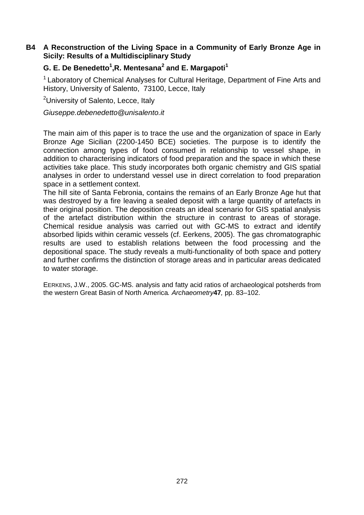## **B4 A Reconstruction of the Living Space in a Community of Early Bronze Age in Sicily: Results of a Multidisciplinary Study**

## **G. E. De Benedetto<sup>1</sup> ,R. Mentesana<sup>2</sup> and E. Margapoti<sup>1</sup>**

 $1$  Laboratory of Chemical Analyses for Cultural Heritage, Department of Fine Arts and History, University of Salento, 73100, Lecce, Italy

<sup>2</sup>University of Salento, Lecce, Italy

Giuseppe.debenedetto@unisalento.it

The main aim of this paper is to trace the use and the organization of space in Early Bronze Age Sicilian (2200-1450 BCE) societies. The purpose is to identify the connection among types of food consumed in relationship to vessel shape, in addition to characterising indicators of food preparation and the space in which these activities take place. This study incorporates both organic chemistry and GIS spatial analyses in order to understand vessel use in direct correlation to food preparation space in a settlement context.

The hill site of Santa Febronia, contains the remains of an Early Bronze Age hut that was destroyed by a fire leaving a sealed deposit with a large quantity of artefacts in their original position. The deposition creats an ideal scenario for GIS spatial analysis of the artefact distribution within the structure in contrast to areas of storage. Chemical residue analysis was carried out with GC-MS to extract and identify absorbed lipids within ceramic vessels (cf. Eerkens, 2005). The gas chromatographic results are used to establish relations between the food processing and the depositional space. The study reveals a multi-functionality of both space and pottery and further confirms the distinction of storage areas and in particular areas dedicated to water storage.

EERKENS, J.W., 2005. GC-MS. analysis and fatty acid ratios of archaeological potsherds from the western Great Basin of North America. Archaeometry**47**, pp. 83–102.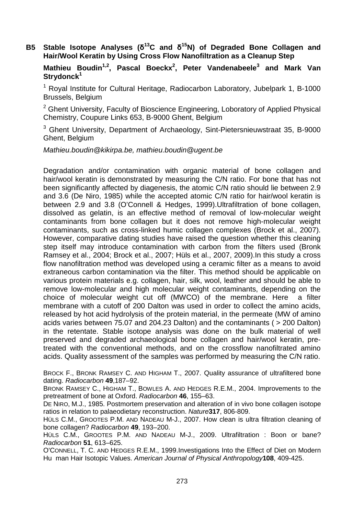## **B5 Stable Isotope Analyses (δ <sup>13</sup>C and δ <sup>15</sup>N) of Degraded Bone Collagen and Hair/Wool Keratin by Using Cross Flow Nanofiltration as a Cleanup Step**

**Mathieu Boudin1,2, Pascal Boeckx<sup>2</sup> , Peter Vandenabeele<sup>3</sup> and Mark Van Strydonck<sup>1</sup>**

<sup>1</sup> Royal Institute for Cultural Heritage, Radiocarbon Laboratory, Jubelpark 1, B-1000 Brussels, Belgium

<sup>2</sup> Ghent University, Faculty of Bioscience Engineering, Loboratory of Applied Physical Chemistry, Coupure Links 653, B-9000 Ghent, Belgium

<sup>3</sup> Ghent University, Department of Archaeology, Sint-Pietersnieuwstraat 35, B-9000 Ghent, Belgium

Mathieu.boudin@kikirpa.be, mathieu.boudin@ugent.be

Degradation and/or contamination with organic material of bone collagen and hair/wool keratin is demonstrated by measuring the C/N ratio. For bone that has not been significantly affected by diagenesis, the atomic C/N ratio should lie between 2.9 and 3.6 (De Niro, 1985) while the accepted atomic C/N ratio for hair/wool keratin is between 2.9 and 3.8 (O'Connell & Hedges, 1999).Ultrafiltration of bone collagen, dissolved as gelatin, is an effective method of removal of low-molecular weight contaminants from bone collagen but it does not remove high-molecular weight contaminants, such as cross-linked humic collagen complexes (Brock et al., 2007). However, comparative dating studies have raised the question whether this cleaning step itself may introduce contamination with carbon from the filters used (Bronk Ramsey et al., 2004; Brock et al., 2007; Hüls et al., 2007, 2009).In this study a cross flow nanofiltration method was developed using a ceramic filter as a means to avoid extraneous carbon contamination via the filter. This method should be applicable on various protein materials e.g. collagen, hair, silk, wool, leather and should be able to remove low-molecular and high molecular weight contaminants, depending on the choice of molecular weight cut off (MWCO) of the membrane. Here a filter membrane with a cutoff of 200 Dalton was used in order to collect the amino acids, released by hot acid hydrolysis of the protein material, in the permeate (MW of amino acids varies between 75.07 and 204.23 Dalton) and the contaminants ( > 200 Dalton) in the retentate. Stable isotope analysis was done on the bulk material of well preserved and degraded archaeological bone collagen and hair/wool keratin, pretreated with the conventional methods, and on the crossflow nanofiltrated amino acids. Quality assessment of the samples was performed by measuring the C/N ratio.

BROCK F., BRONK RAMSEY C. AND HIGHAM T., 2007. Quality assurance of ultrafiltered bone dating. Radiocarbon **49**,187–92.

BRONK RAMSEY C., HIGHAM T., BOWLES A. AND HEDGES R.E.M., 2004. Improvements to the pretreatment of bone at Oxford. Radiocarbon **46**, 155–63.

DE NIRO, M.J., 1985. Postmortem preservation and alteration of in vivo bone collagen isotope ratios in relation to palaeodietary reconstruction. Nature**317**, 806-809.

HÜLS C.M., GROOTES P.M. AND NADEAU M-J., 2007. How clean is ultra filtration cleaning of bone collagen? Radiocarbon **49**, 193–200.

HÜLS C.M., GROOTES P.M. AND NADEAU M-J., 2009. Ultrafiltration : Boon or bane? Radiocarbon **51**, 613–625.

O'CONNELL, T. C. AND HEDGES R.E.M., 1999.Investigations Into the Effect of Diet on Modern Hu man Hair Isotopic Values. American Journal of Physical Anthropology**108**, 409-425.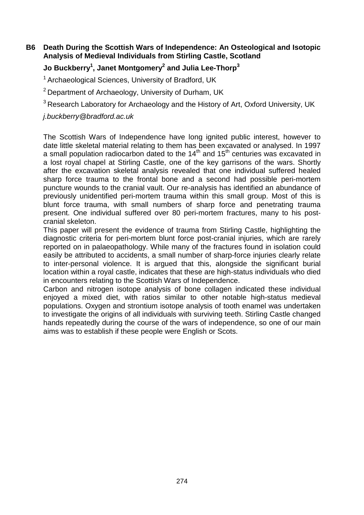**B6 Death During the Scottish Wars of Independence: An Osteological and Isotopic Analysis of Medieval Individuals from Stirling Castle, Scotland** 

## **Jo Buckberry<sup>1</sup> , Janet Montgomery<sup>2</sup> and Julia Lee-Thorp<sup>3</sup>**

<sup>1</sup> Archaeological Sciences, University of Bradford, UK

<sup>2</sup> Department of Archaeology, University of Durham, UK

 $3$  Research Laboratory for Archaeology and the History of Art, Oxford University, UK

j.buckberry@bradford.ac.uk

The Scottish Wars of Independence have long ignited public interest, however to date little skeletal material relating to them has been excavated or analysed. In 1997 a small population radiocarbon dated to the  $14<sup>th</sup>$  and  $15<sup>th</sup>$  centuries was excavated in a lost royal chapel at Stirling Castle, one of the key garrisons of the wars. Shortly after the excavation skeletal analysis revealed that one individual suffered healed sharp force trauma to the frontal bone and a second had possible peri-mortem puncture wounds to the cranial vault. Our re-analysis has identified an abundance of previously unidentified peri-mortem trauma within this small group. Most of this is blunt force trauma, with small numbers of sharp force and penetrating trauma present. One individual suffered over 80 peri-mortem fractures, many to his postcranial skeleton.

This paper will present the evidence of trauma from Stirling Castle, highlighting the diagnostic criteria for peri-mortem blunt force post-cranial injuries, which are rarely reported on in palaeopathology. While many of the fractures found in isolation could easily be attributed to accidents, a small number of sharp-force injuries clearly relate to inter-personal violence. It is argued that this, alongside the significant burial location within a royal castle, indicates that these are high-status individuals who died in encounters relating to the Scottish Wars of Independence.

Carbon and nitrogen isotope analysis of bone collagen indicated these individual enjoyed a mixed diet, with ratios similar to other notable high-status medieval populations. Oxygen and strontium isotope analysis of tooth enamel was undertaken to investigate the origins of all individuals with surviving teeth. Stirling Castle changed hands repeatedly during the course of the wars of independence, so one of our main aims was to establish if these people were English or Scots.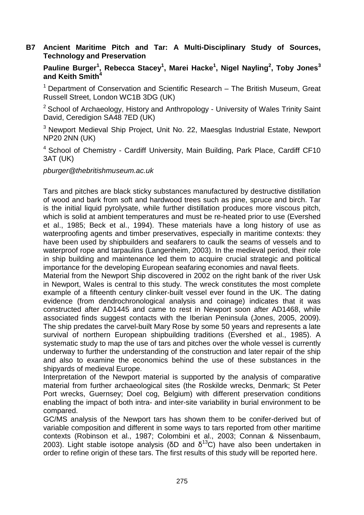#### **B7 Ancient Maritime Pitch and Tar: A Multi-Disciplinary Study of Sources, Technology and Preservation**

**Pauline Burger<sup>1</sup> , Rebecca Stacey<sup>1</sup> , Marei Hacke<sup>1</sup> , Nigel Nayling<sup>2</sup> , Toby Jones<sup>3</sup> and Keith Smith<sup>4</sup>**

 $1$  Department of Conservation and Scientific Research – The British Museum, Great Russell Street, London WC1B 3DG (UK)

 $2$  School of Archaeology, History and Anthropology - University of Wales Trinity Saint David, Ceredigion SA48 7ED (UK)

 $3$  Newport Medieval Ship Project, Unit No. 22, Maesglas Industrial Estate, Newport NP20 2NN (UK)

<sup>4</sup> School of Chemistry - Cardiff University, Main Building, Park Place, Cardiff CF10 3AT (UK)

pburger@thebritishmuseum.ac.uk

Tars and pitches are black sticky substances manufactured by destructive distillation of wood and bark from soft and hardwood trees such as pine, spruce and birch. Tar is the initial liquid pyrolysate, while further distillation produces more viscous pitch, which is solid at ambient temperatures and must be re-heated prior to use (Evershed et al., 1985; Beck et al., 1994). These materials have a long history of use as waterproofing agents and timber preservatives, especially in maritime contexts: they have been used by shipbuilders and seafarers to caulk the seams of vessels and to waterproof rope and tarpaulins (Langenheim, 2003). In the medieval period, their role in ship building and maintenance led them to acquire crucial strategic and political importance for the developing European seafaring economies and naval fleets.

Material from the Newport Ship discovered in 2002 on the right bank of the river Usk in Newport, Wales is central to this study. The wreck constitutes the most complete example of a fifteenth century clinker-built vessel ever found in the UK. The dating evidence (from dendrochronological analysis and coinage) indicates that it was constructed after AD1445 and came to rest in Newport soon after AD1468, while associated finds suggest contacts with the Iberian Peninsula (Jones, 2005, 2009). The ship predates the carvel-built Mary Rose by some 50 years and represents a late survival of northern European shipbuilding traditions (Evershed et al., 1985). A systematic study to map the use of tars and pitches over the whole vessel is currently underway to further the understanding of the construction and later repair of the ship and also to examine the economics behind the use of these substances in the shipyards of medieval Europe.

Interpretation of the Newport material is supported by the analysis of comparative material from further archaeological sites (the Roskilde wrecks, Denmark; St Peter Port wrecks, Guernsey; Doel cog, Belgium) with different preservation conditions enabling the impact of both intra- and inter-site variability in burial environment to be compared.

GC/MS analysis of the Newport tars has shown them to be conifer-derived but of variable composition and different in some ways to tars reported from other maritime contexts (Robinson et al., 1987; Colombini et al., 2003; Connan & Nissenbaum, 2003). Light stable isotope analysis (δD and  $\delta^{13}$ C) have also been undertaken in order to refine origin of these tars. The first results of this study will be reported here.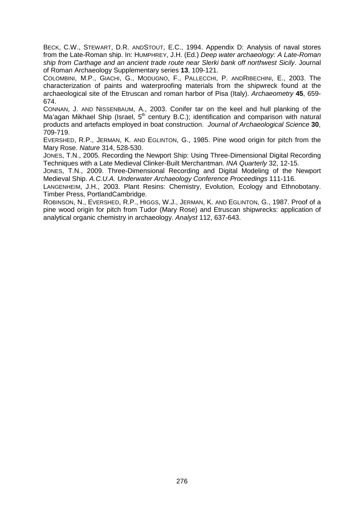BECK, C.W., STEWART, D.R. ANDSTOUT, E.C., 1994. Appendix D: Analysis of naval stores from the Late-Roman ship. In: HUMPHREY, J.H. (Ed.) Deep water archaeology: A Late-Roman ship from Carthage and an ancient trade route near Slerki bank off northwest Sicily. Journal of Roman Archaeology Supplementary series **13**, 109-121.

COLOMBINI, M.P., GIACHI, G., MODUGNO, F., PALLECCHI, P. ANDRIBECHINI, E., 2003. The characterization of paints and waterproofing materials from the shipwreck found at the archaeological site of the Etruscan and roman harbor of Pisa (Italy). Archaeometry **45**, 659- 674.

CONNAN, J. AND NISSENBAUM, A., 2003. Conifer tar on the keel and hull planking of the Ma'agan Mikhael Ship (Israel,  $5<sup>th</sup>$  century B.C.); identification and comparison with natural products and artefacts employed in boat construction. Journal of Archaeological Science **30**, 709-719.

EVERSHED, R.P., JERMAN, K. AND EGLINTON, G., 1985. Pine wood origin for pitch from the Mary Rose. Nature 314, 528-530.

JONES, T.N., 2005. Recording the Newport Ship: Using Three-Dimensional Digital Recording Techniques with a Late Medieval Clinker-Built Merchantman. INA Quarterly 32, 12-15.

JONES, T.N., 2009. Three-Dimensional Recording and Digital Modeling of the Newport Medieval Ship. A.C.U.A. Underwater Archaeology Conference Proceedings 111-116.

LANGENHEIM, J.H., 2003. Plant Resins: Chemistry, Evolution, Ecology and Ethnobotany. Timber Press, PortlandCambridge.

ROBINSON, N., EVERSHED, R.P., HIGGS, W.J., JERMAN, K. AND EGLINTON, G., 1987. Proof of a pine wood origin for pitch from Tudor (Mary Rose) and Etruscan shipwrecks: application of analytical organic chemistry in archaeology. Analyst 112, 637-643.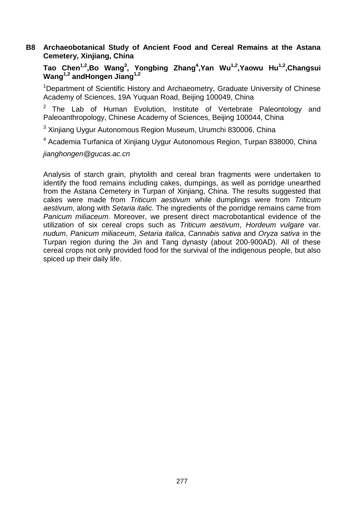## **B8 Archaeobotanical Study of Ancient Food and Cereal Remains at the Astana Cemetery, Xinjiang, China**

**Tao Chen1,2,Bo Wang<sup>3</sup> , Yongbing Zhang<sup>4</sup> ,Yan Wu1,2,Yaowu Hu1,2,Changsui Wang1,2 andHongen Jiang1,2**

<sup>1</sup>Department of Scientific History and Archaeometry, Graduate University of Chinese Academy of Sciences, 19A Yuquan Road, Beijing 100049, China

 $2$  The Lab of Human Evolution, Institute of Vertebrate Paleontology and Paleoanthropology, Chinese Academy of Sciences, Beijing 100044, China

<sup>3</sup> Xinjiang Uygur Autonomous Region Museum, Urumchi 830006, China

<sup>4</sup> Academia Turfanica of Xinjiang Uygur Autonomous Region, Turpan 838000, China

jianghongen@gucas.ac.cn

Analysis of starch grain, phytolith and cereal bran fragments were undertaken to identify the food remains including cakes, dumpings, as well as porridge unearthed from the Astana Cemetery in Turpan of Xinjiang, China. The results suggested that cakes were made from Triticum aestivum while dumplings were from Triticum aestivum, along with Setaria italic. The ingredients of the porridge remains came from Panicum miliaceum. Moreover, we present direct macrobotantical evidence of the utilization of six cereal crops such as Triticum aestivum, Hordeum vulgare var. nudum, Panicum miliaceum, Setaria italica, Cannabis sativa and Oryza sativa in the Turpan region during the Jin and Tang dynasty (about 200-900AD). All of these cereal crops not only provided food for the survival of the indigenous people, but also spiced up their daily life.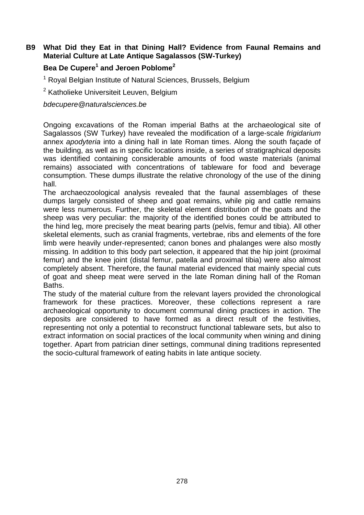## **B9 What Did they Eat in that Dining Hall? Evidence from Faunal Remains and Material Culture at Late Antique Sagalassos (SW-Turkey)**

## **Bea De Cupere<sup>1</sup> and Jeroen Poblome<sup>2</sup>**

<sup>1</sup> Royal Belgian Institute of Natural Sciences, Brussels, Belgium

<sup>2</sup> Katholieke Universiteit Leuven, Belgium

bdecupere@naturalsciences.be

Ongoing excavations of the Roman imperial Baths at the archaeological site of Sagalassos (SW Turkey) have revealed the modification of a large-scale frigidarium annex apodyteria into a dining hall in late Roman times. Along the south façade of the building, as well as in specific locations inside, a series of stratigraphical deposits was identified containing considerable amounts of food waste materials (animal remains) associated with concentrations of tableware for food and beverage consumption. These dumps illustrate the relative chronology of the use of the dining hall.

The archaeozoological analysis revealed that the faunal assemblages of these dumps largely consisted of sheep and goat remains, while pig and cattle remains were less numerous. Further, the skeletal element distribution of the goats and the sheep was very peculiar: the majority of the identified bones could be attributed to the hind leg, more precisely the meat bearing parts (pelvis, femur and tibia). All other skeletal elements, such as cranial fragments, vertebrae, ribs and elements of the fore limb were heavily under-represented; canon bones and phalanges were also mostly missing. In addition to this body part selection, it appeared that the hip joint (proximal femur) and the knee joint (distal femur, patella and proximal tibia) were also almost completely absent. Therefore, the faunal material evidenced that mainly special cuts of goat and sheep meat were served in the late Roman dining hall of the Roman Baths.

The study of the material culture from the relevant layers provided the chronological framework for these practices. Moreover, these collections represent a rare archaeological opportunity to document communal dining practices in action. The deposits are considered to have formed as a direct result of the festivities, representing not only a potential to reconstruct functional tableware sets, but also to extract information on social practices of the local community when wining and dining together. Apart from patrician diner settings, communal dining traditions represented the socio-cultural framework of eating habits in late antique society.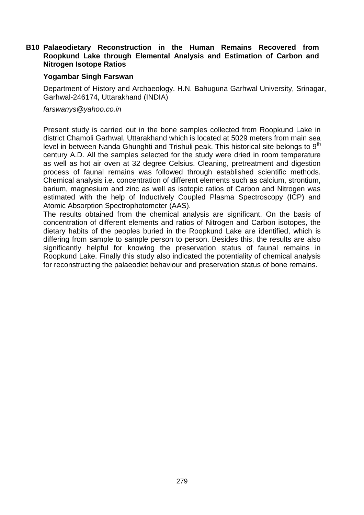## **B10 Palaeodietary Reconstruction in the Human Remains Recovered from Roopkund Lake through Elemental Analysis and Estimation of Carbon and Nitrogen Isotope Ratios**

#### **Yogambar Singh Farswan**

Department of History and Archaeology. H.N. Bahuguna Garhwal University, Srinagar, Garhwal-246174, Uttarakhand (INDIA)

farswanys@yahoo.co.in

Present study is carried out in the bone samples collected from Roopkund Lake in district Chamoli Garhwal, Uttarakhand which is located at 5029 meters from main sea level in between Nanda Ghunghti and Trishuli peak. This historical site belongs to  $9<sup>th</sup>$ century A.D. All the samples selected for the study were dried in room temperature as well as hot air oven at 32 degree Celsius. Cleaning, pretreatment and digestion process of faunal remains was followed through established scientific methods. Chemical analysis i.e. concentration of different elements such as calcium, strontium, barium, magnesium and zinc as well as isotopic ratios of Carbon and Nitrogen was estimated with the help of Inductively Coupled Plasma Spectroscopy (ICP) and Atomic Absorption Spectrophotometer (AAS).

The results obtained from the chemical analysis are significant. On the basis of concentration of different elements and ratios of Nitrogen and Carbon isotopes, the dietary habits of the peoples buried in the Roopkund Lake are identified, which is differing from sample to sample person to person. Besides this, the results are also significantly helpful for knowing the preservation status of faunal remains in Roopkund Lake. Finally this study also indicated the potentiality of chemical analysis for reconstructing the palaeodiet behaviour and preservation status of bone remains.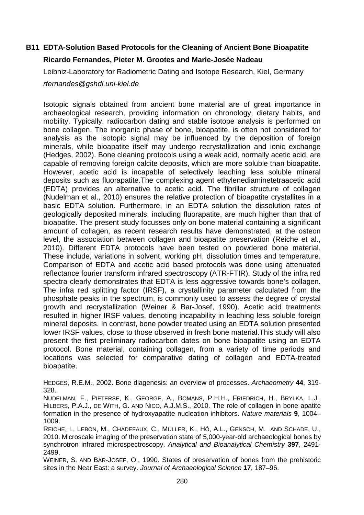## **B11 EDTA-Solution Based Protocols for the Cleaning of Ancient Bone Bioapatite**

## **Ricardo Fernandes, Pieter M. Grootes and Marie-Josée Nadeau**

Leibniz-Laboratory for Radiometric Dating and Isotope Research, Kiel, Germany

rfernandes@gshdl.uni-kiel.de

Isotopic signals obtained from ancient bone material are of great importance in archaeological research, providing information on chronology, dietary habits, and mobility. Typically, radiocarbon dating and stable isotope analysis is performed on bone collagen. The inorganic phase of bone, bioapatite, is often not considered for analysis as the isotopic signal may be influenced by the deposition of foreign minerals, while bioapatite itself may undergo recrystallization and ionic exchange (Hedges, 2002). Bone cleaning protocols using a weak acid, normally acetic acid, are capable of removing foreign calcite deposits, which are more soluble than bioapatite. However, acetic acid is incapable of selectively leaching less soluble mineral deposits such as fluorapatite.The complexing agent ethylenediaminetetraacetic acid (EDTA) provides an alternative to acetic acid. The fibrillar structure of collagen (Nudelman et al., 2010) ensures the relative protection of bioapatite crystallites in a basic EDTA solution. Furthermore, in an EDTA solution the dissolution rates of geologically deposited minerals, including fluorapatite, are much higher than that of bioapatite. The present study focusses only on bone material containing a significant amount of collagen, as recent research results have demonstrated, at the osteon level, the association between collagen and bioapatite preservation (Reiche et al., 2010). Different EDTA protocols have been tested on powdered bone material. These include, variations in solvent, working pH, dissolution times and temperature. Comparison of EDTA and acetic acid based protocols was done using attenuated reflectance fourier transform infrared spectroscopy (ATR-FTIR). Study of the infra red spectra clearly demonstrates that EDTA is less aggressive towards bone's collagen. The infra red splitting factor (IRSF), a crystallinity parameter calculated from the phosphate peaks in the spectrum, is commonly used to assess the degree of crystal growth and recrystallization (Weiner & Bar-Josef, 1990). Acetic acid treatments resulted in higher IRSF values, denoting incapability in leaching less soluble foreign mineral deposits. In contrast, bone powder treated using an EDTA solution presented lower IRSF values, close to those observed in fresh bone material.This study will also present the first preliminary radiocarbon dates on bone bioapatite using an EDTA protocol. Bone material, containing collagen, from a variety of time periods and locations was selected for comparative dating of collagen and EDTA-treated bioapatite.

HEDGES, R.E.M., 2002. Bone diagenesis: an overview of processes. Archaeometry **44**, 319- 328.

NUDELMAN, F., PIETERSE, K., GEORGE, A., BOMANS, P.H.H., FRIEDRICH, H., BRYLKA, L.J., HILBERS, P.A.J., DE WITH, G. AND NICO, A.J.M.S., 2010. The role of collagen in bone apatite formation in the presence of hydroxyapatite nucleation inhibitors. Nature materials **9**, 1004– 1009.

REICHE, I., LEBON, M., CHADEFAUX, C., MÜLLER, K., HÔ, A.L., GENSCH, M. AND SCHADE, U., 2010. Microscale imaging of the preservation state of 5,000-year-old archaeological bones by synchrotron infrared microspectroscopy. Analytical and Bioanalytical Chemistry **397**, 2491- 2499.

WEINER, S. AND BAR-JOSEF, O., 1990. States of preservation of bones from the prehistoric sites in the Near East: a survey. Journal of Archaeological Science **17**, 187–96.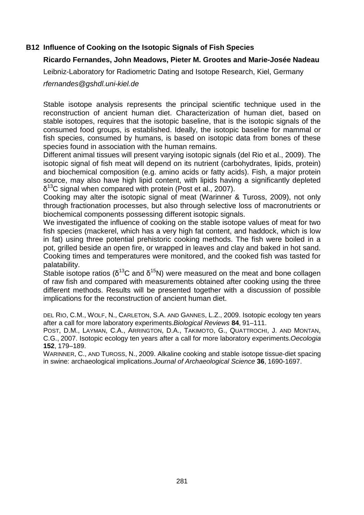## **B12 Influence of Cooking on the Isotopic Signals of Fish Species**

## **Ricardo Fernandes, John Meadows, Pieter M. Grootes and Marie-Josée Nadeau**

Leibniz-Laboratory for Radiometric Dating and Isotope Research, Kiel, Germany

rfernandes@gshdl.uni-kiel.de

Stable isotope analysis represents the principal scientific technique used in the reconstruction of ancient human diet. Characterization of human diet, based on stable isotopes, requires that the isotopic baseline, that is the isotopic signals of the consumed food groups, is established. Ideally, the isotopic baseline for mammal or fish species, consumed by humans, is based on isotopic data from bones of these species found in association with the human remains.

Different animal tissues will present varying isotopic signals (del Rio et al., 2009). The isotopic signal of fish meat will depend on its nutrient (carbohydrates, lipids, protein) and biochemical composition (e.g. amino acids or fatty acids). Fish, a major protein source, may also have high lipid content, with lipids having a significantly depleted  $δ<sup>13</sup>C$  signal when compared with protein (Post et al., 2007).

Cooking may alter the isotopic signal of meat (Warinner & Tuross, 2009), not only through fractionation processes, but also through selective loss of macronutrients or biochemical components possessing different isotopic signals.

We investigated the influence of cooking on the stable isotope values of meat for two fish species (mackerel, which has a very high fat content, and haddock, which is low in fat) using three potential prehistoric cooking methods. The fish were boiled in a pot, grilled beside an open fire, or wrapped in leaves and clay and baked in hot sand. Cooking times and temperatures were monitored, and the cooked fish was tasted for palatability.

Stable isotope ratios ( $\delta^{13}$ C and  $\delta^{15}$ N) were measured on the meat and bone collagen of raw fish and compared with measurements obtained after cooking using the three different methods. Results will be presented together with a discussion of possible implications for the reconstruction of ancient human diet.

DEL RIO, C.M., WOLF, N., CARLETON, S.A. AND GANNES, L.Z., 2009. Isotopic ecology ten years after a call for more laboratory experiments.Biological Reviews **84**, 91–111.

POST, D.M., LAYMAN, C.A., ARRINGTON, D.A., TAKIMOTO, G., QUATTROCHI, J. AND MONTAN, C.G., 2007. Isotopic ecology ten years after a call for more laboratory experiments.Oecologia **152**, 179–189.

WARINNER, C., AND TUROSS, N., 2009. Alkaline cooking and stable isotope tissue-diet spacing in swine: archaeological implications.Journal of Archaeological Science **36**, 1690-1697.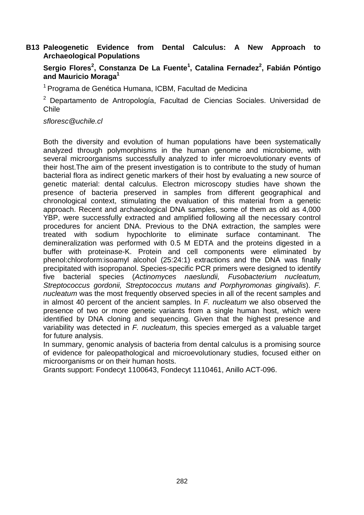## **B13 Paleogenetic Evidence from Dental Calculus: A New Approach to Archaeological Populations**

## **Sergio Flores<sup>2</sup> , Constanza De La Fuente<sup>1</sup> , Catalina Fernadez<sup>2</sup> , Fabián Póntigo and Mauricio Moraga<sup>1</sup>**

<sup>1</sup> Programa de Genética Humana, ICBM, Facultad de Medicina

<sup>2</sup> Departamento de Antropología, Facultad de Ciencias Sociales. Universidad de Chile

sfloresc@uchile.cl

Both the diversity and evolution of human populations have been systematically analyzed through polymorphisms in the human genome and microbiome, with several microorganisms successfully analyzed to infer microevolutionary events of their host.The aim of the present investigation is to contribute to the study of human bacterial flora as indirect genetic markers of their host by evaluating a new source of genetic material: dental calculus. Electron microscopy studies have shown the presence of bacteria preserved in samples from different geographical and chronological context, stimulating the evaluation of this material from a genetic approach. Recent and archaeological DNA samples, some of them as old as 4,000 YBP, were successfully extracted and amplified following all the necessary control procedures for ancient DNA. Previous to the DNA extraction, the samples were treated with sodium hypochlorite to eliminate surface contaminant. The demineralization was performed with 0.5 M EDTA and the proteins digested in a buffer with proteinase-K. Protein and cell components were eliminated by phenol:chloroform:isoamyl alcohol (25:24:1) extractions and the DNA was finally precipitated with isopropanol. Species-specific PCR primers were designed to identify five bacterial species (Actinomyces naeslundii, Fusobacterium nucleatum, Streptococcus gordonii, Streptococcus mutans and Porphyromonas gingivalis). F. nucleatum was the most frequently observed species in all of the recent samples and in almost 40 percent of the ancient samples. In  $F$ . nucleatum we also observed the presence of two or more genetic variants from a single human host, which were identified by DNA cloning and sequencing. Given that the highest presence and variability was detected in  $F$ . nucleatum, this species emerged as a valuable target for future analysis.

In summary, genomic analysis of bacteria from dental calculus is a promising source of evidence for paleopathological and microevolutionary studies, focused either on microorganisms or on their human hosts.

Grants support: Fondecyt 1100643, Fondecyt 1110461, Anillo ACT-096.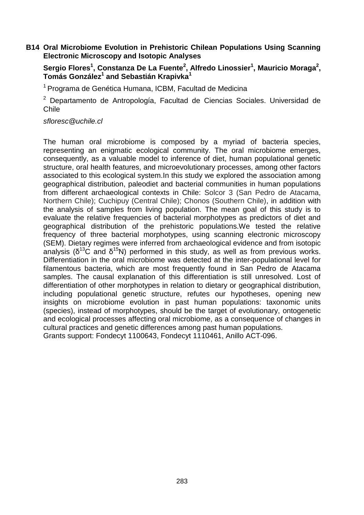## **B14 Oral Microbiome Evolution in Prehistoric Chilean Populations Using Scanning Electronic Microscopy and Isotopic Analyses**

## **Sergio Flores<sup>1</sup> , Constanza De La Fuente<sup>2</sup> , Alfredo Linossier<sup>1</sup> , Mauricio Moraga<sup>2</sup> , Tomás González<sup>1</sup> and Sebastián Krapivka<sup>1</sup>**

<sup>1</sup> Programa de Genética Humana, ICBM, Facultad de Medicina

<sup>2</sup> Departamento de Antropología, Facultad de Ciencias Sociales. Universidad de Chile

#### sfloresc@uchile.cl

The human oral microbiome is composed by a myriad of bacteria species, representing an enigmatic ecological community. The oral microbiome emerges, consequently, as a valuable model to inference of diet, human populational genetic structure, oral health features, and microevolutionary processes, among other factors associated to this ecological system.In this study we explored the association among geographical distribution, paleodiet and bacterial communities in human populations from different archaeological contexts in Chile: Solcor 3 (San Pedro de Atacama, Northern Chile); Cuchipuy (Central Chile); Chonos (Southern Chile), in addition with the analysis of samples from living population. The mean goal of this study is to evaluate the relative frequencies of bacterial morphotypes as predictors of diet and geographical distribution of the prehistoric populations.We tested the relative frequency of three bacterial morphotypes, using scanning electronic microscopy (SEM). Dietary regimes were inferred from archaeological evidence and from isotopic analysis ( $\delta^{13}$ C and  $\delta^{15}$ N) performed in this study, as well as from previous works. Differentiation in the oral microbiome was detected at the inter-populational level for filamentous bacteria, which are most frequently found in San Pedro de Atacama samples. The causal explanation of this differentiation is still unresolved. Lost of differentiation of other morphotypes in relation to dietary or geographical distribution, including populational genetic structure, refutes our hypotheses, opening new insights on microbiome evolution in past human populations: taxonomic units (species), instead of morphotypes, should be the target of evolutionary, ontogenetic and ecological processes affecting oral microbiome, as a consequence of changes in cultural practices and genetic differences among past human populations. Grants support: Fondecyt 1100643, Fondecyt 1110461, Anillo ACT-096.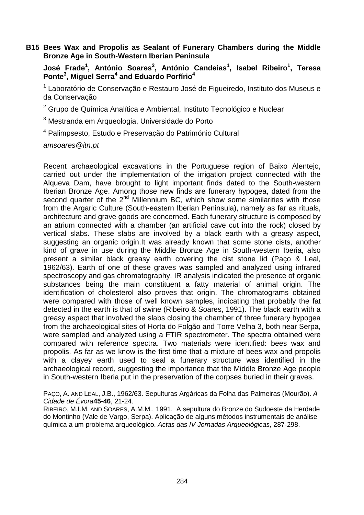## **B15 Bees Wax and Propolis as Sealant of Funerary Chambers during the Middle Bronze Age in South-Western Iberian Peninsula**

**José Frade<sup>1</sup> , António Soares<sup>2</sup> , António Candeias<sup>1</sup> , Isabel Ribeiro<sup>1</sup> , Teresa Ponte<sup>3</sup> , Miguel Serra<sup>4</sup> and Eduardo Porfírio<sup>4</sup>**

<sup>1</sup> Laboratório de Conservação e Restauro José de Figueiredo, Instituto dos Museus e da Conservação

<sup>2</sup> Grupo de Química Analítica e Ambiental, Instituto Tecnológico e Nuclear

<sup>3</sup> Mestranda em Arqueologia, Universidade do Porto

4 Palimpsesto, Estudo e Preservação do Património Cultural

amsoares@itn.pt

Recent archaeological excavations in the Portuguese region of Baixo Alentejo, carried out under the implementation of the irrigation project connected with the Alqueva Dam, have brought to light important finds dated to the South-western Iberian Bronze Age. Among those new finds are funerary hypogea, dated from the second quarter of the  $2^{nd}$  Millennium BC, which show some similarities with those from the Argaric Culture (South-eastern Iberian Peninsula), namely as far as rituals, architecture and grave goods are concerned. Each funerary structure is composed by an atrium connected with a chamber (an artificial cave cut into the rock) closed by vertical slabs. These slabs are involved by a black earth with a greasy aspect, suggesting an organic origin.It was already known that some stone cists, another kind of grave in use during the Middle Bronze Age in South-western Iberia, also present a similar black greasy earth covering the cist stone lid (Paço & Leal, 1962/63). Earth of one of these graves was sampled and analyzed using infrared spectroscopy and gas chromatography. IR analysis indicated the presence of organic substances being the main constituent a fatty material of animal origin. The identification of cholesterol also proves that origin. The chromatograms obtained were compared with those of well known samples, indicating that probably the fat detected in the earth is that of swine (Ribeiro & Soares, 1991). The black earth with a greasy aspect that involved the slabs closing the chamber of three funerary hypogea from the archaeological sites of Horta do Folgão and Torre Velha 3, both near Serpa, were sampled and analyzed using a FTIR spectrometer. The spectra obtained were compared with reference spectra. Two materials were identified: bees wax and propolis. As far as we know is the first time that a mixture of bees wax and propolis with a clayey earth used to seal a funerary structure was identified in the archaeological record, suggesting the importance that the Middle Bronze Age people in South-western Iberia put in the preservation of the corpses buried in their graves.

PAÇO, A. AND LEAL, J.B., 1962/63. Sepulturas Argáricas da Folha das Palmeiras (Mourão). A Cidade de Évora**45-46**, 21-24.

RIBEIRO, M.I.M. AND SOARES, A.M.M., 1991. A sepultura do Bronze do Sudoeste da Herdade do Montinho (Vale de Vargo, Serpa). Aplicação de alguns métodos instrumentais de análise química a um problema arqueológico. Actas das IV Jornadas Arqueológicas, 287-298.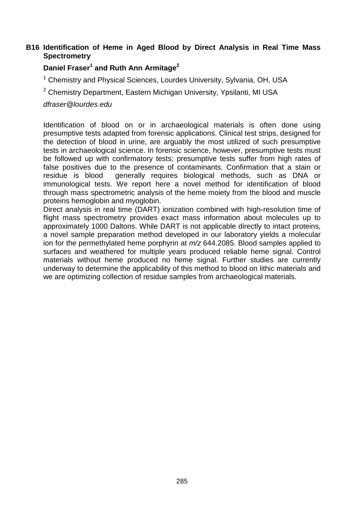## **B16 Identification of Heme in Aged Blood by Direct Analysis in Real Time Mass Spectrometry**

## **Daniel Fraser<sup>1</sup> and Ruth Ann Armitage<sup>2</sup>**

<sup>1</sup> Chemistry and Physical Sciences, Lourdes University, Sylvania, OH, USA

<sup>2</sup> Chemistry Department, Eastern Michigan University, Ypsilanti, MI USA

#### dfraser@lourdes.edu

Identification of blood on or in archaeological materials is often done using presumptive tests adapted from forensic applications. Clinical test strips, designed for the detection of blood in urine, are arguably the most utilized of such presumptive tests in archaeological science. In forensic science, however, presumptive tests must be followed up with confirmatory tests; presumptive tests suffer from high rates of false positives due to the presence of contaminants. Confirmation that a stain or residue is blood generally requires biological methods, such as DNA or immunological tests. We report here a novel method for identification of blood through mass spectrometric analysis of the heme moiety from the blood and muscle proteins hemoglobin and myoglobin.

Direct analysis in real time (DART) ionization combined with high-resolution time of flight mass spectrometry provides exact mass information about molecules up to approximately 1000 Daltons. While DART is not applicable directly to intact proteins, a novel sample preparation method developed in our laboratory yields a molecular ion for the permethylated heme porphyrin at  $m/z$  644.2085. Blood samples applied to surfaces and weathered for multiple years produced reliable heme signal. Control materials without heme produced no heme signal. Further studies are currently underway to determine the applicability of this method to blood on lithic materials and we are optimizing collection of residue samples from archaeological materials.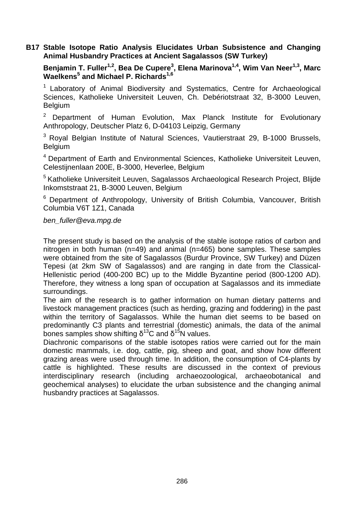## **B17 Stable Isotope Ratio Analysis Elucidates Urban Subsistence and Changing Animal Husbandry Practices at Ancient Sagalassos (SW Turkey)**

**Benjamin T. Fuller1,2, Bea De Cupere<sup>3</sup> , Elena Marinova1,4, Wim Van Neer1,3, Marc Waelkens<sup>5</sup> and Michael P. Richards1,6**

<sup>1</sup> Laboratory of Animal Biodiversity and Systematics, Centre for Archaeological Sciences, Katholieke Universiteit Leuven, Ch. Debériotstraat 32, B-3000 Leuven, **Belgium** 

 $2$  Department of Human Evolution, Max Planck Institute for Evolutionary Anthropology, Deutscher Platz 6, D-04103 Leipzig, Germany

<sup>3</sup> Royal Belgian Institute of Natural Sciences, Vautierstraat 29, B-1000 Brussels, Belgium

<sup>4</sup> Department of Earth and Environmental Sciences, Katholieke Universiteit Leuven, Celestijnenlaan 200E, B-3000, Heverlee, Belgium

<sup>5</sup> Katholieke Universiteit Leuven, Sagalassos Archaeological Research Project, Bliide Inkomststraat 21, B-3000 Leuven, Belgium

 $6$  Department of Anthropology, University of British Columbia, Vancouver, British Columbia V6T 1Z1, Canada

#### ben\_fuller@eva.mpg.de

The present study is based on the analysis of the stable isotope ratios of carbon and nitrogen in both human (n=49) and animal (n=465) bone samples. These samples were obtained from the site of Sagalassos (Burdur Province, SW Turkey) and Düzen Tepesi (at 2km SW of Sagalassos) and are ranging in date from the Classical-Hellenistic period (400-200 BC) up to the Middle Byzantine period (800-1200 AD). Therefore, they witness a long span of occupation at Sagalassos and its immediate surroundings.

The aim of the research is to gather information on human dietary patterns and livestock management practices (such as herding, grazing and foddering) in the past within the territory of Sagalassos. While the human diet seems to be based on predominantly C3 plants and terrestrial (domestic) animals, the data of the animal bones samples show shifting  $\delta^{13}$ C and  $\delta^{15}$ N values.

Diachronic comparisons of the stable isotopes ratios were carried out for the main domestic mammals, i.e. dog, cattle, pig, sheep and goat, and show how different grazing areas were used through time. In addition, the consumption of C4-plants by cattle is highlighted. These results are discussed in the context of previous interdisciplinary research (including archaeozoological, archaeobotanical and geochemical analyses) to elucidate the urban subsistence and the changing animal husbandry practices at Sagalassos.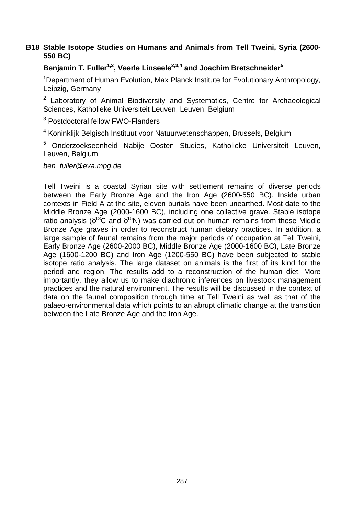## **B18 Stable Isotope Studies on Humans and Animals from Tell Tweini, Syria (2600- 550 BC)**

## **Benjamin T. Fuller1,2, Veerle Linseele2,3,4 and Joachim Bretschneider<sup>5</sup>**

<sup>1</sup>Department of Human Evolution, Max Planck Institute for Evolutionary Anthropology, Leipzig, Germany

<sup>2</sup> Laboratory of Animal Biodiversity and Systematics, Centre for Archaeological Sciences, Katholieke Universiteit Leuven, Leuven, Belgium

<sup>3</sup> Postdoctoral fellow FWO-Flanders

<sup>4</sup> Koninklijk Belgisch Instituut voor Natuurwetenschappen, Brussels, Belgium

<sup>5</sup> Onderzoekseenheid Nabije Oosten Studies, Katholieke Universiteit Leuven, Leuven, Belgium

ben\_fuller@eva.mpg.de

Tell Tweini is a coastal Syrian site with settlement remains of diverse periods between the Early Bronze Age and the Iron Age (2600-550 BC). Inside urban contexts in Field A at the site, eleven burials have been unearthed. Most date to the Middle Bronze Age (2000-1600 BC), including one collective grave. Stable isotope ratio analysis ( $\delta^{13}$ C and  $\delta^{15}$ N) was carried out on human remains from these Middle Bronze Age graves in order to reconstruct human dietary practices. In addition, a large sample of faunal remains from the major periods of occupation at Tell Tweini, Early Bronze Age (2600-2000 BC), Middle Bronze Age (2000-1600 BC), Late Bronze Age (1600-1200 BC) and Iron Age (1200-550 BC) have been subjected to stable isotope ratio analysis. The large dataset on animals is the first of its kind for the period and region. The results add to a reconstruction of the human diet. More importantly, they allow us to make diachronic inferences on livestock management practices and the natural environment. The results will be discussed in the context of data on the faunal composition through time at Tell Tweini as well as that of the palaeo-environmental data which points to an abrupt climatic change at the transition between the Late Bronze Age and the Iron Age.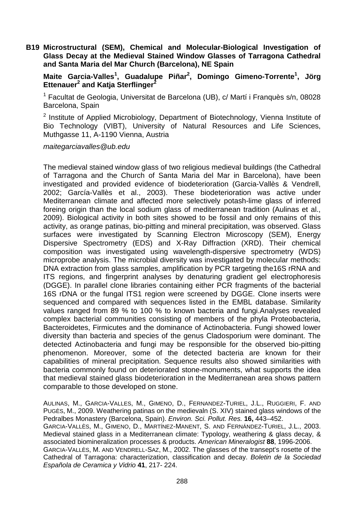**B19 Microstructural (SEM), Chemical and Molecular-Biological Investigation of Glass Decay at the Medieval Stained Window Glasses of Tarragona Cathedral and Santa Maria del Mar Church (Barcelona), NE Spain** 

**Maite Garcia-Valles<sup>1</sup> , Guadalupe Piñar<sup>2</sup> , Domingo Gimeno-Torrente<sup>1</sup> , Jörg Ettenauer<sup>2</sup> and Katja Sterflinger<sup>2</sup>**

<sup>1</sup> Facultat de Geologia, Universitat de Barcelona (UB), c/ Martí i Franquès s/n, 08028 Barcelona, Spain

<sup>2</sup> Institute of Applied Microbiology, Department of Biotechnology, Vienna Institute of Bio Technology (VIBT), University of Natural Resources and Life Sciences, Muthgasse 11, A-1190 Vienna, Austria

maitegarciavalles@ub.edu

The medieval stained window glass of two religious medieval buildings (the Cathedral of Tarragona and the Church of Santa Maria del Mar in Barcelona), have been investigated and provided evidence of biodeterioration (Garcia-Vallès & Vendrell, 2002; García-Vallès et al., 2003). These biodeterioration was active under Mediterranean climate and affected more selectively potash-lime glass of inferred foreing origin than the local sodium glass of mediterranean tradition (Aulinas et al., 2009). Biological activity in both sites showed to be fossil and only remains of this activity, as orange patinas, bio-pitting and mineral precipitation, was observed. Glass surfaces were investigated by Scanning Electron Microscopy (SEM), Energy Dispersive Spectrometry (EDS) and X-Ray Diffraction (XRD). Their chemical composition was investigated using wavelength-dispersive spectrometry (WDS) microprobe analysis. The microbial diversity was investigated by molecular methods: DNA extraction from glass samples, amplification by PCR targeting the16S rRNA and ITS regions, and fingerprint analyses by denaturing gradient gel electrophoresis (DGGE). In parallel clone libraries containing either PCR fragments of the bacterial 16S rDNA or the fungal ITS1 region were screened by DGGE. Clone inserts were sequenced and compared with sequences listed in the EMBL database. Similarity values ranged from 89 % to 100 % to known bacteria and fungi.Analyses revealed complex bacterial communities consisting of members of the phyla Proteobacteria, Bacteroidetes, Firmicutes and the dominance of Actinobacteria. Fungi showed lower diversity than bacteria and species of the genus Cladosporium were dominant. The detected Actinobacteria and fungi may be responsible for the observed bio-pitting phenomenon. Moreover, some of the detected bacteria are known for their capabilities of mineral precipitation. Sequence results also showed similarities with bacteria commonly found on deteriorated stone-monuments, what supports the idea that medieval stained glass biodeterioration in the Mediterranean area shows pattern comparable to those developed on stone.

AULINAS, M., GARCIA-VALLES, M., GIMENO, D., FERNANDEZ-TURIEL, J.L., RUGGIERI, F. AND PUGÈS, M., 2009. Weathering patinas on the medievaln (S. XIV) stained glass windows of the Pedralbes Monastery (Barcelona, Spain). Environ. Sci. Pollut. Res. **16,** 443–452. GARCIA-VALLÈS, M., GIMENO, D., MARTÍNEZ-MANENT, S. AND FERNÁNDEZ-TURIEL, J.L., 2003. Medieval stained glass in a Mediterranean climate: Typology, weathering & glass decay, & associated biomineralization processes & products. American Mineralogist **88**, 1996-2006. GARCIA-VALLÈS, M. AND VENDRELL-SAZ, M., 2002. The glasses of the transept's rosette of the Cathedral of Tarragona: characterization, classification and decay. Boletin de la Sociedad Española de Ceramica y Vidrio **41**, 217- 224.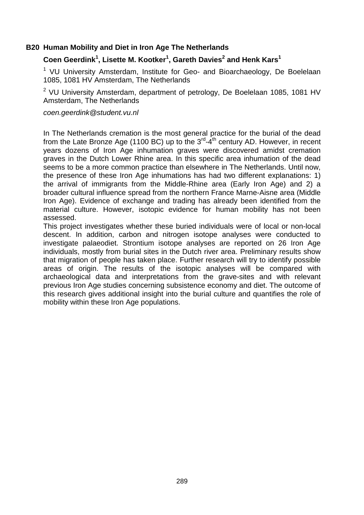#### **B20 Human Mobility and Diet in Iron Age The Netherlands**

## **Coen Geerdink<sup>1</sup> , Lisette M. Kootker<sup>1</sup> , Gareth Davies<sup>2</sup> and Henk Kars<sup>1</sup>**

<sup>1</sup> VU University Amsterdam, Institute for Geo- and Bioarchaeology, De Boelelaan 1085, 1081 HV Amsterdam, The Netherlands

 $2$  VU University Amsterdam, department of petrology, De Boelelaan 1085, 1081 HV Amsterdam, The Netherlands

#### coen.geerdink@student.vu.nl

In The Netherlands cremation is the most general practice for the burial of the dead from the Late Bronze Age (1100 BC) up to the  $3<sup>rd</sup>-4<sup>th</sup>$  century AD. However, in recent years dozens of Iron Age inhumation graves were discovered amidst cremation graves in the Dutch Lower Rhine area. In this specific area inhumation of the dead seems to be a more common practice than elsewhere in The Netherlands. Until now, the presence of these Iron Age inhumations has had two different explanations: 1) the arrival of immigrants from the Middle-Rhine area (Early Iron Age) and 2) a broader cultural influence spread from the northern France Marne-Aisne area (Middle Iron Age). Evidence of exchange and trading has already been identified from the material culture. However, isotopic evidence for human mobility has not been assessed.

This project investigates whether these buried individuals were of local or non-local descent. In addition, carbon and nitrogen isotope analyses were conducted to investigate palaeodiet. Strontium isotope analyses are reported on 26 Iron Age individuals, mostly from burial sites in the Dutch river area. Preliminary results show that migration of people has taken place. Further research will try to identify possible areas of origin. The results of the isotopic analyses will be compared with archaeological data and interpretations from the grave-sites and with relevant previous Iron Age studies concerning subsistence economy and diet. The outcome of this research gives additional insight into the burial culture and quantifies the role of mobility within these Iron Age populations.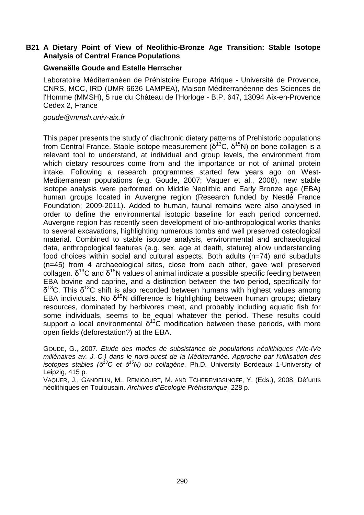## **B21 A Dietary Point of View of Neolithic-Bronze Age Transition: Stable Isotope Analysis of Central France Populations**

#### **Gwenaëlle Goude and Estelle Herrscher**

Laboratoire Méditerranéen de Préhistoire Europe Afrique - Université de Provence, CNRS, MCC, IRD (UMR 6636 LAMPEA), Maison Méditerranéenne des Sciences de l'Homme (MMSH), 5 rue du Château de l'Horloge - B.P. 647, 13094 Aix-en-Provence Cedex 2, France

goude@mmsh.univ-aix.fr

This paper presents the study of diachronic dietary patterns of Prehistoric populations from Central France. Stable isotope measurement ( $\delta^{13}$ C,  $\delta^{15}$ N) on bone collagen is a relevant tool to understand, at individual and group levels, the environment from which dietary resources come from and the importance or not of animal protein intake. Following a research programmes started few years ago on West-Mediterranean populations (e.g. Goude, 2007; Vaquer et al., 2008), new stable isotope analysis were performed on Middle Neolithic and Early Bronze age (EBA) human groups located in Auvergne region (Research funded by Nestlé France Foundation; 2009-2011). Added to human, faunal remains were also analysed in order to define the environmental isotopic baseline for each period concerned. Auvergne region has recently seen development of bio-anthropological works thanks to several excavations, highlighting numerous tombs and well preserved osteological material. Combined to stable isotope analysis, environmental and archaeological data, anthropological features (e.g. sex, age at death, stature) allow understanding food choices within social and cultural aspects. Both adults (n=74) and subadults (n=45) from 4 archaeological sites, close from each other, gave well preserved collagen.  $δ<sup>13</sup>C$  and  $δ<sup>15</sup>N$  values of animal indicate a possible specific feeding between EBA bovine and caprine, and a distinction between the two period, specifically for  $δ<sup>13</sup>C$ . This  $δ<sup>13</sup>C$  shift is also recorded between humans with highest values among EBA individuals. No  $\delta^{15}N$  difference is highlighting between human groups; dietary resources, dominated by herbivores meat, and probably including aquatic fish for some individuals, seems to be equal whatever the period. These results could support a local environmental  $\delta^{13}$ C modification between these periods, with more open fields (deforestation?) at the EBA.

GOUDE, G., 2007. Etude des modes de subsistance de populations néolithiques (VIe-IVe millénaires av. J.-C.) dans le nord-ouest de la Méditerranée. Approche par l'utilisation des isotopes stables (δ<sup>13</sup>C et δ<sup>15</sup>N) du collagène. Ph.D. University Bordeaux 1-University of Leipzig, 415 p.

VAQUER, J., GANDELIN, M., REMICOURT, M. AND TCHEREMISSINOFF, Y. (Eds.), 2008. Défunts néolithiques en Toulousain. Archives d'Ecologie Préhistorique, 228 p.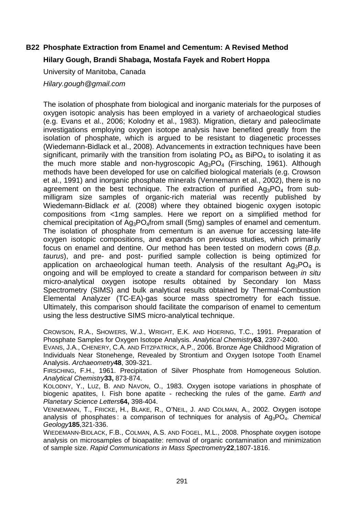## **B22 Phosphate Extraction from Enamel and Cementum: A Revised Method**

## **Hilary Gough, Brandi Shabaga, Mostafa Fayek and Robert Hoppa**

University of Manitoba, Canada

Hilary.gough@gmail.com

The isolation of phosphate from biological and inorganic materials for the purposes of oxygen isotopic analysis has been employed in a variety of archaeological studies (e.g. Evans et al., 2006; Kolodny et al., 1983). Migration, dietary and paleoclimate investigations employing oxygen isotope analysis have benefited greatly from the isolation of phosphate, which is argued to be resistant to diagenetic processes (Wiedemann-Bidlack et al., 2008). Advancements in extraction techniques have been significant, primarily with the transition from isolating  $PO<sub>4</sub>$  as BiPO<sub>4</sub> to isolating it as the much more stable and non-hygroscopic  $Ag_3PO_4$  (Firsching, 1961). Although methods have been developed for use on calcified biological materials (e.g. Crowson et al., 1991) and inorganic phosphate minerals (Vennemann et al., 2002), there is no agreement on the best technique. The extraction of purified  $Ag_3PO_4$  from submilligram size samples of organic-rich material was recently published by Wiedemann-Bidlack et al. (2008) where they obtained biogenic oxygen isotopic compositions from <1mg samples. Here we report on a simplified method for chemical precipitation of Ag3PO4from small (5mg) samples of enamel and cementum. The isolation of phosphate from cementum is an avenue for accessing late-life oxygen isotopic compositions, and expands on previous studies, which primarily focus on enamel and dentine. Our method has been tested on modern cows (B.p. taurus), and pre- and post- purified sample collection is being optimized for application on archaeological human teeth. Analysis of the resultant  $Aq_3PO_4$  is ongoing and will be employed to create a standard for comparison between in situ micro-analytical oxygen isotope results obtained by Secondary Ion Mass Spectrometry (SIMS) and bulk analytical results obtained by Thermal-Combustion Elemental Analyzer (TC-EA)-gas source mass spectrometry for each tissue. Ultimately, this comparison should facilitate the comparison of enamel to cementum using the less destructive SIMS micro-analytical technique.

CROWSON, R.A., SHOWERS, W.J., WRIGHT, E.K. AND HOERING, T.C., 1991. Preparation of Phosphate Samples for Oxygen Isotope Analysis. Analytical Chemistry**63**, 2397-2400.

EVANS, J.A., CHENERY, C.A. AND FITZPATRICK, A.P., 2006. Bronze Age Childhood Migration of Individuals Near Stonehenge, Revealed by Strontium and Oxygen Isotope Tooth Enamel Analysis. Archaeometry**48**, 309-321.

FIRSCHING, F.H., 1961. Precipitation of Silver Phosphate from Homogeneous Solution. Analytical Chemistry**33,** 873-874.

KOLODNY, Y., LUZ, B. AND NAVON, O., 1983. Oxygen isotope variations in phosphate of biogenic apatites, I. Fish bone apatite - rechecking the rules of the game. *Earth and* Planetary Science Letters**64,** 398-404.

VENNEMANN, T., FRICKE, H., BLAKE, R., O'NEIL, J. AND COLMAN, A., 2002. Oxygen isotope analysis of phosphates: a comparison of techniques for analysis of  $Ag_3PO_4$ . Chemical Geology**185**,321-336.

WIEDEMANN-BIDLACK, F.B., COLMAN, A.S. AND FOGEL, M.L., 2008. Phosphate oxygen isotope analysis on microsamples of bioapatite: removal of organic contamination and minimization of sample size. Rapid Communications in Mass Spectrometry**22**,1807-1816.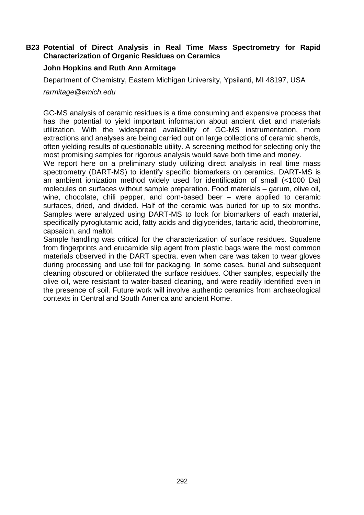## **B23 Potential of Direct Analysis in Real Time Mass Spectrometry for Rapid Characterization of Organic Residues on Ceramics**

## **John Hopkins and Ruth Ann Armitage**

Department of Chemistry, Eastern Michigan University, Ypsilanti, MI 48197, USA

rarmitage@emich.edu

GC-MS analysis of ceramic residues is a time consuming and expensive process that has the potential to yield important information about ancient diet and materials utilization. With the widespread availability of GC-MS instrumentation, more extractions and analyses are being carried out on large collections of ceramic sherds, often yielding results of questionable utility. A screening method for selecting only the most promising samples for rigorous analysis would save both time and money.

We report here on a preliminary study utilizing direct analysis in real time mass spectrometry (DART-MS) to identify specific biomarkers on ceramics. DART-MS is an ambient ionization method widely used for identification of small (<1000 Da) molecules on surfaces without sample preparation. Food materials – garum, olive oil, wine, chocolate, chili pepper, and corn-based beer – were applied to ceramic surfaces, dried, and divided. Half of the ceramic was buried for up to six months. Samples were analyzed using DART-MS to look for biomarkers of each material, specifically pyroglutamic acid, fatty acids and diglycerides, tartaric acid, theobromine, capsaicin, and maltol.

Sample handling was critical for the characterization of surface residues. Squalene from fingerprints and erucamide slip agent from plastic bags were the most common materials observed in the DART spectra, even when care was taken to wear gloves during processing and use foil for packaging. In some cases, burial and subsequent cleaning obscured or obliterated the surface residues. Other samples, especially the olive oil, were resistant to water-based cleaning, and were readily identified even in the presence of soil. Future work will involve authentic ceramics from archaeological contexts in Central and South America and ancient Rome.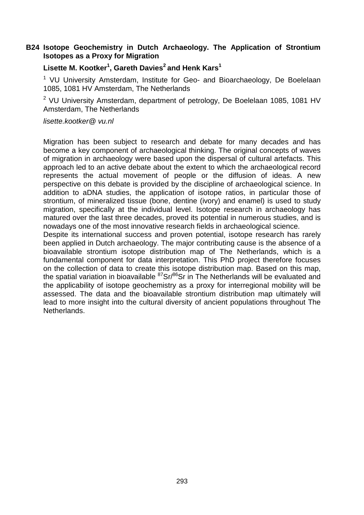## **B24 Isotope Geochemistry in Dutch Archaeology. The Application of Strontium Isotopes as a Proxy for Migration**

## **Lisette M. Kootker<sup>1</sup> , Gareth Davies<sup>2</sup>and Henk Kars<sup>1</sup>**

<sup>1</sup> VU University Amsterdam, Institute for Geo- and Bioarchaeology, De Boelelaan 1085, 1081 HV Amsterdam, The Netherlands

 $2$  VU University Amsterdam, department of petrology, De Boelelaan 1085, 1081 HV Amsterdam, The Netherlands

lisette.kootker@ vu.nl

Migration has been subject to research and debate for many decades and has become a key component of archaeological thinking. The original concepts of waves of migration in archaeology were based upon the dispersal of cultural artefacts. This approach led to an active debate about the extent to which the archaeological record represents the actual movement of people or the diffusion of ideas. A new perspective on this debate is provided by the discipline of archaeological science. In addition to aDNA studies, the application of isotope ratios, in particular those of strontium, of mineralized tissue (bone, dentine (ivory) and enamel) is used to study migration, specifically at the individual level. Isotope research in archaeology has matured over the last three decades, proved its potential in numerous studies, and is nowadays one of the most innovative research fields in archaeological science.

Despite its international success and proven potential, isotope research has rarely been applied in Dutch archaeology. The major contributing cause is the absence of a bioavailable strontium isotope distribution map of The Netherlands, which is a fundamental component for data interpretation. This PhD project therefore focuses on the collection of data to create this isotope distribution map. Based on this map, the spatial variation in bioavailable  ${}^{87}Sr/{}^{86}Sr$  in The Netherlands will be evaluated and the applicability of isotope geochemistry as a proxy for interregional mobility will be assessed. The data and the bioavailable strontium distribution map ultimately will lead to more insight into the cultural diversity of ancient populations throughout The Netherlands.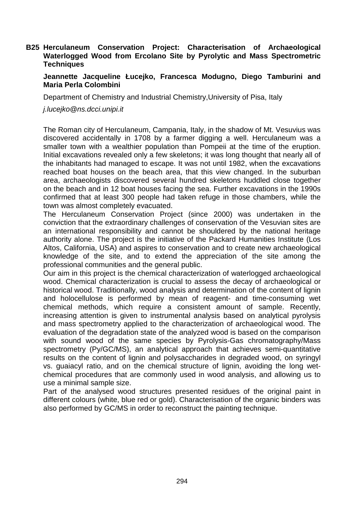## **B25 Herculaneum Conservation Project: Characterisation of Archaeological Waterlogged Wood from Ercolano Site by Pyrolytic and Mass Spectrometric Techniques**

## **Jeannette Jacqueline Łucejko, Francesca Modugno, Diego Tamburini and Maria Perla Colombini**

Department of Chemistry and Industrial Chemistry,University of Pisa, Italy

j.lucejko@ns.dcci.unipi.it

The Roman city of Herculaneum, Campania, Italy, in the shadow of Mt. Vesuvius was discovered accidentally in 1708 by a farmer digging a well. Herculaneum was a smaller town with a wealthier population than Pompeii at the time of the eruption. Initial excavations revealed only a few skeletons; it was long thought that nearly all of the inhabitants had managed to escape. It was not until 1982, when the excavations reached boat houses on the beach area, that this view changed. In the suburban area, archaeologists discovered several hundred skeletons huddled close together on the beach and in 12 boat houses facing the sea. Further excavations in the 1990s confirmed that at least 300 people had taken refuge in those chambers, while the town was almost completely evacuated.

The Herculaneum Conservation Project (since 2000) was undertaken in the conviction that the extraordinary challenges of conservation of the Vesuvian sites are an international responsibility and cannot be shouldered by the national heritage authority alone. The project is the initiative of the Packard Humanities Institute (Los Altos, California, USA) and aspires to conservation and to create new archaeological knowledge of the site, and to extend the appreciation of the site among the professional communities and the general public.

Our aim in this project is the chemical characterization of waterlogged archaeological wood. Chemical characterization is crucial to assess the decay of archaeological or historical wood. Traditionally, wood analysis and determination of the content of lignin and holocellulose is performed by mean of reagent- and time-consuming wet chemical methods, which require a consistent amount of sample. Recently, increasing attention is given to instrumental analysis based on analytical pyrolysis and mass spectrometry applied to the characterization of archaeological wood. The evaluation of the degradation state of the analyzed wood is based on the comparison with sound wood of the same species by Pyrolysis-Gas chromatography/Mass spectrometry (Py/GC/MS), an analytical approach that achieves semi-quantitative results on the content of lignin and polysaccharides in degraded wood, on syringyl vs. guaiacyl ratio, and on the chemical structure of lignin, avoiding the long wetchemical procedures that are commonly used in wood analysis, and allowing us to use a minimal sample size.

Part of the analysed wood structures presented residues of the original paint in different colours (white, blue red or gold). Characterisation of the organic binders was also performed by GC/MS in order to reconstruct the painting technique.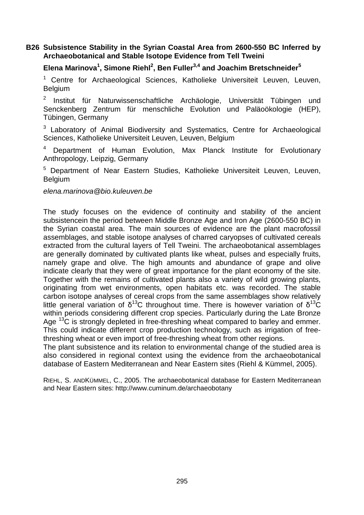## **B26 Subsistence Stability in the Syrian Coastal Area from 2600-550 BC Inferred by Archaeobotanical and Stable Isotope Evidence from Tell Tweini**

## **Elena Marinova<sup>1</sup> , Simone Riehl<sup>2</sup> , Ben Fuller3,4 and Joachim Bretschneider<sup>5</sup>**

<sup>1</sup> Centre for Archaeological Sciences, Katholieke Universiteit Leuven, Leuven, Belgium

2 Institut für Naturwissenschaftliche Archäologie, Universität Tübingen und Senckenberg Zentrum für menschliche Evolution und Paläoökologie (HEP), Tübingen, Germany

<sup>3</sup> Laboratory of Animal Biodiversity and Systematics, Centre for Archaeological Sciences, Katholieke Universiteit Leuven, Leuven, Belgium

4 Department of Human Evolution, Max Planck Institute for Evolutionary Anthropology, Leipzig, Germany

<sup>5</sup> Department of Near Eastern Studies, Katholieke Universiteit Leuven, Leuven, Belgium

#### elena.marinova@bio.kuleuven.be

The study focuses on the evidence of continuity and stability of the ancient subsistencein the period between Middle Bronze Age and Iron Age (2600-550 BC) in the Syrian coastal area. The main sources of evidence are the plant macrofossil assemblages, and stable isotope analyses of charred caryopses of cultivated cereals extracted from the cultural layers of Tell Tweini. The archaeobotanical assemblages are generally dominated by cultivated plants like wheat, pulses and especially fruits, namely grape and olive. The high amounts and abundance of grape and olive indicate clearly that they were of great importance for the plant economy of the site. Together with the remains of cultivated plants also a variety of wild growing plants, originating from wet environments, open habitats etc. was recorded. The stable carbon isotope analyses of cereal crops from the same assemblages show relatively little general variation of  $\delta^{13}C$  throughout time. There is however variation of  $\delta^{13}C$ within periods considering different crop species. Particularly during the Late Bronze Age  $^{13}$ C is strongly depleted in free-threshing wheat compared to barley and emmer. This could indicate different crop production technology, such as irrigation of freethreshing wheat or even import of free-threshing wheat from other regions.

The plant subsistence and its relation to environmental change of the studied area is also considered in regional context using the evidence from the archaeobotanical database of Eastern Mediterranean and Near Eastern sites (Riehl & Kümmel, 2005).

RIEHL, S. ANDKÜMMEL, C., 2005. The archaeobotanical database for Eastern Mediterranean and Near Eastern sites: http://www.cuminum.de/archaeobotany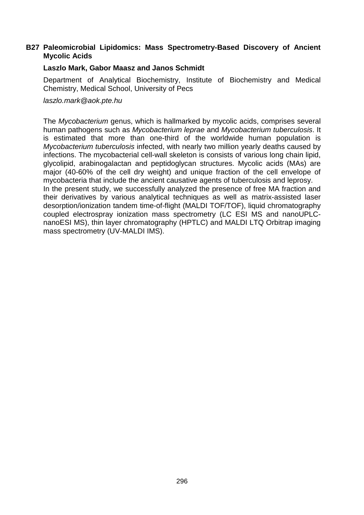## **B27 Paleomicrobial Lipidomics: Mass Spectrometry-Based Discovery of Ancient Mycolic Acids**

#### **Laszlo Mark, Gabor Maasz and Janos Schmidt**

Department of Analytical Biochemistry, Institute of Biochemistry and Medical Chemistry, Medical School, University of Pecs

laszlo.mark@aok.pte.hu

The Mycobacterium genus, which is hallmarked by mycolic acids, comprises several human pathogens such as Mycobacterium leprae and Mycobacterium tuberculosis. It is estimated that more than one-third of the worldwide human population is Mycobacterium tuberculosis infected, with nearly two million yearly deaths caused by infections. The mycobacterial cell-wall skeleton is consists of various long chain lipid, glycolipid, arabinogalactan and peptidoglycan structures. Mycolic acids (MAs) are major (40-60% of the cell dry weight) and unique fraction of the cell envelope of mycobacteria that include the ancient causative agents of tuberculosis and leprosy. In the present study, we successfully analyzed the presence of free MA fraction and their derivatives by various analytical techniques as well as matrix-assisted laser desorption/ionization tandem time-of-flight (MALDI TOF/TOF), liquid chromatography coupled electrospray ionization mass spectrometry (LC ESI MS and nanoUPLCnanoESI MS), thin layer chromatography (HPTLC) and MALDI LTQ Orbitrap imaging mass spectrometry (UV-MALDI IMS).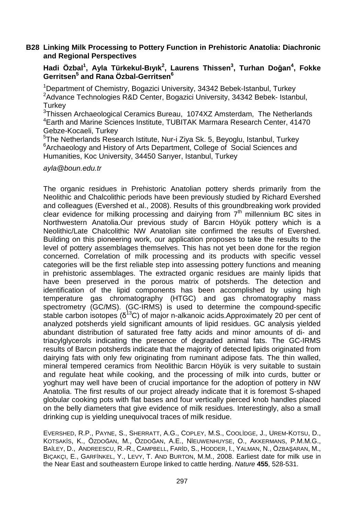#### **B28 Linking Milk Processing to Pottery Function in Prehistoric Anatolia: Diachronic and Regional Perspectives**

**Hadi Özbal<sup>1</sup> , Ayla Türkekul-Bıyık<sup>2</sup> , Laurens Thissen<sup>3</sup> , Turhan Doğan<sup>4</sup> , Fokke Gerritsen<sup>5</sup> and Rana Özbal-Gerritsen<sup>6</sup>**

<sup>1</sup> Department of Chemistry, Bogazici University, 34342 Bebek-Istanbul, Turkey <sup>2</sup> Advance Technologies R&D Center, Bogazici University, 34342 Bebek- Istanbul, **Turkey** 

<sup>3</sup>Thissen Archaeological Ceramics Bureau, 1074XZ Amsterdam, The Netherlands <sup>4</sup>Earth and Marine Sciences Institute, TUBITAK Marmara Research Center, 41470 Gebze-Kocaeli, Turkey

5 The Netherlands Research Istitute, Nur-i Ziya Sk. 5, Beyoglu, Istanbul, Turkey <sup>6</sup> Archaeology and History of Arts Department, College of Social Sciences and Humanities, Koc University, 34450 Sarıyer, Istanbul, Turkey

#### ayla@boun.edu.tr

The organic residues in Prehistoric Anatolian pottery sherds primarily from the Neolithic and Chalcolithic periods have been previously studied by Richard Evershed and colleagues (Evershed et al., 2008). Results of this groundbreaking work provided clear evidence for milking processing and dairving from  $7<sup>th</sup>$  millennium BC sites in Northwestern Anatolia.Our previous study of Barcın Höyük pottery which is a Neolithic/Late Chalcolithic NW Anatolian site confirmed the results of Evershed. Building on this pioneering work, our application proposes to take the results to the level of pottery assemblages themselves. This has not yet been done for the region concerned. Correlation of milk processing and its products with specific vessel categories will be the first reliable step into assessing pottery functions and meaning in prehistoric assemblages. The extracted organic residues are mainly lipids that have been preserved in the porous matrix of potsherds. The detection and identification of the lipid components has been accomplished by using high temperature gas chromatography (HTGC) and gas chromatography mass spectrometry (GC/MS). (GC-IRMS) is used to determine the compound-specific stable carbon isotopes  $(\delta^{13}C)$  of major n-alkanoic acids.Approximately 20 per cent of analyzed potsherds yield significant amounts of lipid residues. GC analysis yielded abundant distribution of saturated free fatty acids and minor amounts of di- and triacylglycerols indicating the presence of degraded animal fats. The GC-IRMS results of Barcın potsherds indicate that the majority of detected lipids originated from dairying fats with only few originating from ruminant adipose fats. The thin walled, mineral tempered ceramics from Neolithic Barcın Höyük is very suitable to sustain and regulate heat while cooking, and the processing of milk into curds, butter or yoghurt may well have been of crucial importance for the adoption of pottery in NW Anatolia. The first results of our project already indicate that it is foremost S-shaped globular cooking pots with flat bases and four vertically pierced knob handles placed on the belly diameters that give evidence of milk residues. Interestingly, also a small drinking cup is yielding unequivocal traces of milk residue.

EVERSHED, R.P., PAYNE, S., SHERRATT, A.G., COPLEY, M.S., COOLİDGE, J., UREM-KOTSU, D., KOTSAKİS, K., ÖZDOĞAN, M., ÖZDOĞAN, A.E., NİEUWENHUYSE, O., AKKERMANS, P.M.M.G., BAİLEY, D., ANDREESCU, R.-R., CAMPBELL, FARİD, S., HODDER, I., YALMAN, N., ÖZBAŞARAN, M., BIÇAKÇI, E., GARFİNKEL, Y., LEVY, T. AND BURTON, M.M., 2008. Earliest date for milk use in the Near East and southeastern Europe linked to cattle herding. Nature **455**, 528-531.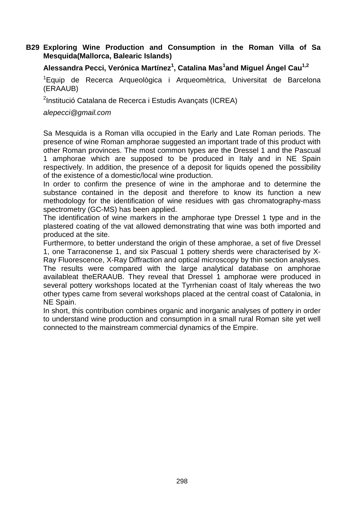## **B29 Exploring Wine Production and Consumption in the Roman Villa of Sa Mesquida(Mallorca, Balearic Islands)**

## **Alessandra Pecci, Verónica Martínez<sup>1</sup> , Catalina Mas<sup>1</sup> and Miguel Ángel Cau1,2**

<sup>1</sup>Equip de Recerca Arqueològica i Arqueomètrica, Universitat de Barcelona (ERAAUB)

<sup>2</sup>Institució Catalana de Recerca i Estudis Avançats (ICREA)

alepecci@gmail.com

Sa Mesquida is a Roman villa occupied in the Early and Late Roman periods. The presence of wine Roman amphorae suggested an important trade of this product with other Roman provinces. The most common types are the Dressel 1 and the Pascual 1 amphorae which are supposed to be produced in Italy and in NE Spain respectively. In addition, the presence of a deposit for liquids opened the possibility of the existence of a domestic/local wine production.

In order to confirm the presence of wine in the amphorae and to determine the substance contained in the deposit and therefore to know its function a new methodology for the identification of wine residues with gas chromatography-mass spectrometry (GC-MS) has been applied.

The identification of wine markers in the amphorae type Dressel 1 type and in the plastered coating of the vat allowed demonstrating that wine was both imported and produced at the site.

Furthermore, to better understand the origin of these amphorae, a set of five Dressel 1, one Tarraconense 1, and six Pascual 1 pottery sherds were characterised by X-Ray Fluorescence, X-Ray Diffraction and optical microscopy by thin section analyses. The results were compared with the large analytical database on amphorae availableat theERAAUB. They reveal that Dressel 1 amphorae were produced in several pottery workshops located at the Tyrrhenian coast of Italy whereas the two other types came from several workshops placed at the central coast of Catalonia, in NE Spain.

In short, this contribution combines organic and inorganic analyses of pottery in order to understand wine production and consumption in a small rural Roman site yet well connected to the mainstream commercial dynamics of the Empire.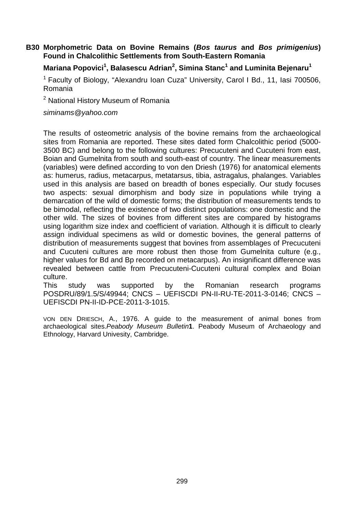## **B30 Morphometric Data on Bovine Remains (Bos taurus and Bos primigenius) Found in Chalcolithic Settlements from South-Eastern Romania**

## **Mariana Popovici<sup>1</sup> , Balasescu Adrian<sup>2</sup> , Simina Stanc<sup>1</sup> and Luminita Bejenaru<sup>1</sup>**

 $1$  Faculty of Biology, "Alexandru Ioan Cuza" University, Carol I Bd., 11, Iasi 700506, Romania

<sup>2</sup> National History Museum of Romania

siminams@yahoo.com

The results of osteometric analysis of the bovine remains from the archaeological sites from Romania are reported. These sites dated form Chalcolithic period (5000- 3500 BC) and belong to the following cultures: Precucuteni and Cucuteni from east, Boian and Gumelnita from south and south-east of country. The linear measurements (variables) were defined according to von den Driesh (1976) for anatomical elements as: humerus, radius, metacarpus, metatarsus, tibia, astragalus, phalanges. Variables used in this analysis are based on breadth of bones especially. Our study focuses two aspects: sexual dimorphism and body size in populations while trying a demarcation of the wild of domestic forms; the distribution of measurements tends to be bimodal, reflecting the existence of two distinct populations: one domestic and the other wild. The sizes of bovines from different sites are compared by histograms using logarithm size index and coefficient of variation. Although it is difficult to clearly assign individual specimens as wild or domestic bovines, the general patterns of distribution of measurements suggest that bovines from assemblages of Precucuteni and Cucuteni cultures are more robust then those from Gumelnita culture (e.g., higher values for Bd and Bp recorded on metacarpus). An insignificant difference was revealed between cattle from Precucuteni-Cucuteni cultural complex and Boian culture.

This study was supported by the Romanian research programs POSDRU/89/1.5/S/49944; CNCS – UEFISCDI PN-II-RU-TE-2011-3-0146; CNCS – UEFISCDI PN-II-ID-PCE-2011-3-1015.

VON DEN DRIESCH, A., 1976. A guide to the measurement of animal bones from archaeological sites.Peabody Museum Bulletin**1**. Peabody Museum of Archaeology and Ethnology, Harvard Univesity, Cambridge.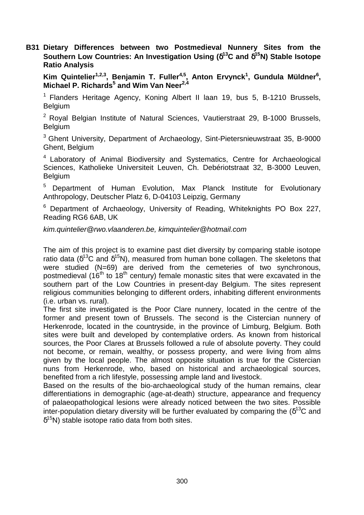**B31 Dietary Differences between two Postmedieval Nunnery Sites from the Southern Low Countries: An Investigation Using (**δ**<sup>13</sup>C and** δ**<sup>15</sup>N) Stable Isotope Ratio Analysis** 

**Kim Quintelier1,2,3, Benjamin T. Fuller4,5, Anton Ervynck<sup>1</sup> , Gundula Müldner<sup>6</sup> , Michael P. Richards<sup>5</sup> and Wim Van Neer2,4**

<sup>1</sup> Flanders Heritage Agency, Koning Albert II laan 19, bus 5, B-1210 Brussels, **Belgium** 

 $2$  Royal Belgian Institute of Natural Sciences, Vautierstraat 29, B-1000 Brussels, Belgium

<sup>3</sup> Ghent University, Department of Archaeology, Sint-Pietersnieuwstraat 35, B-9000 Ghent, Belgium

<sup>4</sup> Laboratory of Animal Biodiversity and Systematics. Centre for Archaeological Sciences, Katholieke Universiteit Leuven, Ch. Debériotstraat 32, B-3000 Leuven, Belgium

<sup>5</sup> Department of Human Evolution, Max Planck Institute for Evolutionary Anthropology, Deutscher Platz 6, D-04103 Leipzig, Germany

<sup>6</sup> Department of Archaeology, University of Reading, Whiteknights PO Box 227, Reading RG6 6AB, UK

kim.quintelier@rwo.vlaanderen.be, kimquintelier@hotmail.com

The aim of this project is to examine past diet diversity by comparing stable isotope ratio data ( $\delta^{13}$ C and  $\delta^{15}$ N), measured from human bone collagen. The skeletons that were studied (N=69) are derived from the cemeteries of two synchronous, postmedieval (16<sup>th</sup> to 18<sup>th</sup> century) female monastic sites that were excavated in the southern part of the Low Countries in present-day Belgium. The sites represent religious communities belonging to different orders, inhabiting different environments (i.e. urban vs. rural).

The first site investigated is the Poor Clare nunnery, located in the centre of the former and present town of Brussels. The second is the Cistercian nunnery of Herkenrode, located in the countryside, in the province of Limburg, Belgium. Both sites were built and developed by contemplative orders. As known from historical sources, the Poor Clares at Brussels followed a rule of absolute poverty. They could not become, or remain, wealthy, or possess property, and were living from alms given by the local people. The almost opposite situation is true for the Cistercian nuns from Herkenrode, who, based on historical and archaeological sources, benefited from a rich lifestyle, possessing ample land and livestock.

Based on the results of the bio-archaeological study of the human remains, clear differentiations in demographic (age-at-death) structure, appearance and frequency of palaeopathological lesions were already noticed between the two sites. Possible inter-population dietary diversity will be further evaluated by comparing the  $(\delta^{13}C$  and  $\delta^{15}$ N) stable isotope ratio data from both sites.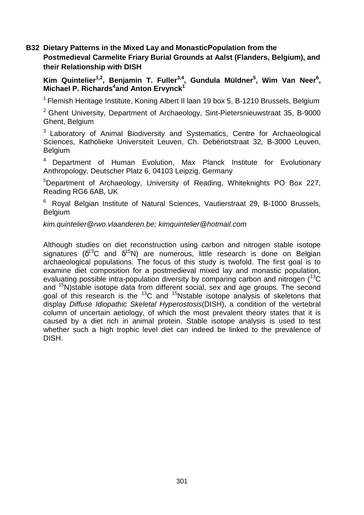## **B32 Dietary Patterns in the Mixed Lay and MonasticPopulation from the Postmedieval Carmelite Friary Burial Grounds at Aalst (Flanders, Belgium), and their Relationship with DISH**

**Kim Quintelier1,2, Benjamin T. Fuller3,4, Gundula Müldner<sup>5</sup> , Wim Van Neer<sup>6</sup> , Michael P. Richards<sup>4</sup> and Anton Ervynck<sup>1</sup>**

<sup>1</sup> Flemish Heritage Institute, Koning Albert II laan 19 box 5, B-1210 Brussels, Belgium

 $2$  Ghent University, Department of Archaeology, Sint-Pietersnieuwstraat 35, B-9000 Ghent, Belgium

<sup>3</sup> Laboratory of Animal Biodiversity and Systematics, Centre for Archaeological Sciences, Katholieke Universiteit Leuven, Ch. Debériotstraat 32, B-3000 Leuven, Belgium

<sup>4</sup>Department of Human Evolution, Max Planck Institute for Evolutionary Anthropology, Deutscher Platz 6, 04103 Leipzig, Germany

<sup>5</sup>Department of Archaeology, University of Reading, Whiteknights PO Box 227, Reading RG6 6AB, UK

<sup>6</sup>Royal Belgian Institute of Natural Sciences, Vautierstraat 29, B-1000 Brussels, **Belgium** 

kim.quintelier@rwo.vlaanderen.be; kimquintelier@hotmail.com

Although studies on diet reconstruction using carbon and nitrogen stable isotope signatures ( $\delta^{13}$ C and  $\delta^{15}$ N) are numerous, little research is done on Belgian archaeological populations. The focus of this study is twofold. The first goal is to examine diet composition for a postmedieval mixed lay and monastic population, evaluating possible intra-population diversity by comparing carbon and nitrogen  $(^{13}C)$ and <sup>15</sup>N)stable isotope data from different social, sex and age groups. The second goal of this research is the  $^{13}$ C and  $^{15}$ Nstable isotope analysis of skeletons that display Diffuse Idiopathic Skeletal Hyperostosis(DISH), a condition of the vertebral column of uncertain aetiology, of which the most prevalent theory states that it is caused by a diet rich in animal protein. Stable isotope analysis is used to test whether such a high trophic level diet can indeed be linked to the prevalence of DISH.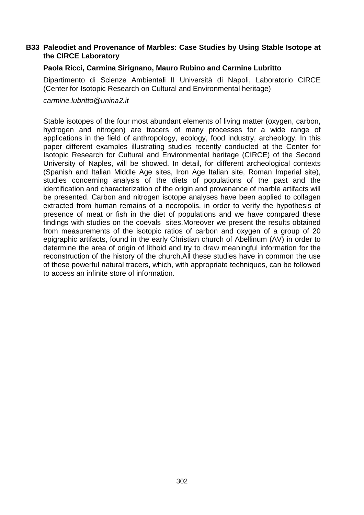## **B33 Paleodiet and Provenance of Marbles: Case Studies by Using Stable Isotope at the CIRCE Laboratory**

#### **Paola Ricci, Carmina Sirignano, Mauro Rubino and Carmine Lubritto**

Dipartimento di Scienze Ambientali II Università di Napoli, Laboratorio CIRCE (Center for Isotopic Research on Cultural and Environmental heritage)

carmine.lubritto@unina2.it

Stable isotopes of the four most abundant elements of living matter (oxygen, carbon, hydrogen and nitrogen) are tracers of many processes for a wide range of applications in the field of anthropology, ecology, food industry, archeology. In this paper different examples illustrating studies recently conducted at the Center for Isotopic Research for Cultural and Environmental heritage (CIRCE) of the Second University of Naples, will be showed. In detail, for different archeological contexts (Spanish and Italian Middle Age sites, Iron Age Italian site, Roman Imperial site), studies concerning analysis of the diets of populations of the past and the identification and characterization of the origin and provenance of marble artifacts will be presented. Carbon and nitrogen isotope analyses have been applied to collagen extracted from human remains of a necropolis, in order to verify the hypothesis of presence of meat or fish in the diet of populations and we have compared these findings with studies on the coevals sites.Moreover we present the results obtained from measurements of the isotopic ratios of carbon and oxygen of a group of 20 epigraphic artifacts, found in the early Christian church of Abellinum (AV) in order to determine the area of origin of lithoid and try to draw meaningful information for the reconstruction of the history of the church.All these studies have in common the use of these powerful natural tracers, which, with appropriate techniques, can be followed to access an infinite store of information.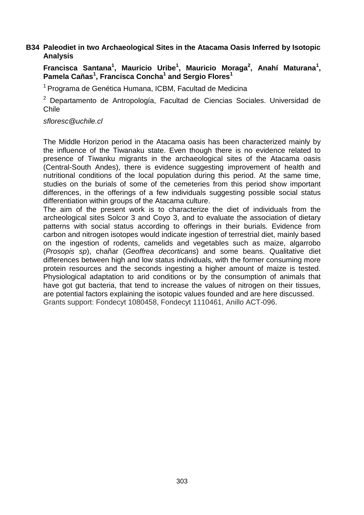## **B34 Paleodiet in two Archaeological Sites in the Atacama Oasis Inferred by Isotopic Analysis**

Francisca Santana<sup>1</sup>, Mauricio Uribe<sup>1</sup>, Mauricio Moraga<sup>2</sup>, Anahí Maturana<sup>1</sup>, **Pamela Cañas<sup>1</sup> , Francisca Concha<sup>1</sup> and Sergio Flores<sup>1</sup>**

<sup>1</sup> Programa de Genética Humana, ICBM, Facultad de Medicina

<sup>2</sup> Departamento de Antropología, Facultad de Ciencias Sociales. Universidad de Chile

#### sfloresc@uchile.cl

The Middle Horizon period in the Atacama oasis has been characterized mainly by the influence of the Tiwanaku state. Even though there is no evidence related to presence of Tiwanku migrants in the archaeological sites of the Atacama oasis (Central-South Andes), there is evidence suggesting improvement of health and nutritional conditions of the local population during this period. At the same time, studies on the burials of some of the cemeteries from this period show important differences, in the offerings of a few individuals suggesting possible social status differentiation within groups of the Atacama culture.

The aim of the present work is to characterize the diet of individuals from the archeological sites Solcor 3 and Coyo 3, and to evaluate the association of dietary patterns with social status according to offerings in their burials. Evidence from carbon and nitrogen isotopes would indicate ingestion of terrestrial diet, mainly based on the ingestion of rodents, camelids and vegetables such as maize, algarrobo (Prosopis sp), chañar (Geoffrea decorticans) and some beans. Qualitative diet differences between high and low status individuals, with the former consuming more protein resources and the seconds ingesting a higher amount of maize is tested. Physiological adaptation to arid conditions or by the consumption of animals that have got gut bacteria, that tend to increase the values of nitrogen on their tissues, are potential factors explaining the isotopic values founded and are here discussed. Grants support: Fondecyt 1080458, Fondecyt 1110461, Anillo ACT-096.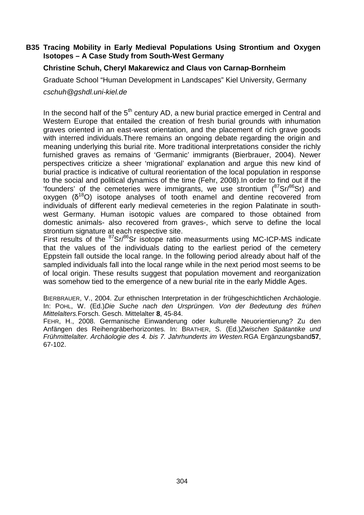## **B35 Tracing Mobility in Early Medieval Populations Using Strontium and Oxygen Isotopes – A Case Study from South-West Germany**

## **Christine Schuh, Cheryl Makarewicz and Claus von Carnap-Bornheim**

Graduate School "Human Development in Landscapes" Kiel University, Germany

cschuh@gshdl.uni-kiel.de

In the second half of the  $5<sup>th</sup>$  century AD, a new burial practice emerged in Central and Western Europe that entailed the creation of fresh burial grounds with inhumation graves oriented in an east-west orientation, and the placement of rich grave goods with interred individuals.There remains an ongoing debate regarding the origin and meaning underlying this burial rite. More traditional interpretations consider the richly furnished graves as remains of 'Germanic' immigrants (Bierbrauer, 2004). Newer perspectives criticize a sheer 'migrational' explanation and argue this new kind of burial practice is indicative of cultural reorientation of the local population in response to the social and political dynamics of the time (Fehr, 2008).In order to find out if the 'founders' of the cemeteries were immigrants, we use strontium  $(^{87}Sr/^{86}Sr)$  and oxygen (δ <sup>18</sup>O) isotope analyses of tooth enamel and dentine recovered from individuals of different early medieval cemeteries in the region Palatinate in southwest Germany. Human isotopic values are compared to those obtained from domestic animals- also recovered from graves-, which serve to define the local strontium signature at each respective site.

First results of the <sup>87</sup>Sr/<sup>86</sup>Sr isotope ratio measurments using MC-ICP-MS indicate that the values of the individuals dating to the earliest period of the cemetery Eppstein fall outside the local range. In the following period already about half of the sampled individuals fall into the local range while in the next period most seems to be of local origin. These results suggest that population movement and reorganization was somehow tied to the emergence of a new burial rite in the early Middle Ages.

BIERBRAUER, V., 2004. Zur ethnischen Interpretation in der frühgeschichtlichen Archäologie. In: POHL, W. (Ed.)Die Suche nach den Ursprüngen. Von der Bedeutung des frühen Mittelalters.Forsch. Gesch. Mittelalter **8**, 45-84.

FEHR, H., 2008. Germanische Einwanderung oder kulturelle Neuorientierung? Zu den Anfängen des Reihengräberhorizontes. In: BRATHER, S. (Ed.)Zwischen Spätantike und Frühmittelalter. Archäologie des 4. bis 7. Jahrhunderts im Westen.RGA Ergänzungsband**57**, 67-102.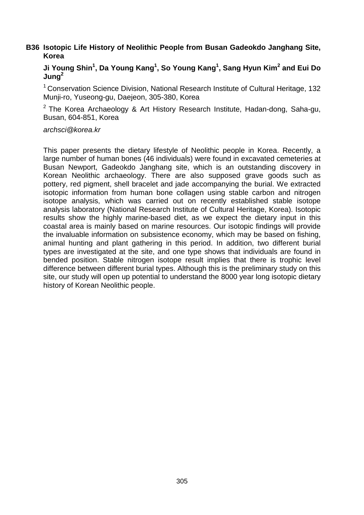## **B36 Isotopic Life History of Neolithic People from Busan Gadeokdo Janghang Site, Korea**

## **Ji Young Shin<sup>1</sup> , Da Young Kang<sup>1</sup> , So Young Kang<sup>1</sup> , Sang Hyun Kim<sup>2</sup> and Eui Do Jung<sup>2</sup>**

 $1$  Conservation Science Division, National Research Institute of Cultural Heritage, 132 Munji-ro, Yuseong-gu, Daejeon, 305-380, Korea

 $2$  The Korea Archaeology & Art History Research Institute, Hadan-dong, Saha-gu, Busan, 604-851, Korea

#### archsci@korea.kr

This paper presents the dietary lifestyle of Neolithic people in Korea. Recently, a large number of human bones (46 individuals) were found in excavated cemeteries at Busan Newport, Gadeokdo Janghang site, which is an outstanding discovery in Korean Neolithic archaeology. There are also supposed grave goods such as pottery, red pigment, shell bracelet and jade accompanying the burial. We extracted isotopic information from human bone collagen using stable carbon and nitrogen isotope analysis, which was carried out on recently established stable isotope analysis laboratory (National Research Institute of Cultural Heritage, Korea). Isotopic results show the highly marine-based diet, as we expect the dietary input in this coastal area is mainly based on marine resources. Our isotopic findings will provide the invaluable information on subsistence economy, which may be based on fishing, animal hunting and plant gathering in this period. In addition, two different burial types are investigated at the site, and one type shows that individuals are found in bended position. Stable nitrogen isotope result implies that there is trophic level difference between different burial types. Although this is the preliminary study on this site, our study will open up potential to understand the 8000 year long isotopic dietary history of Korean Neolithic people.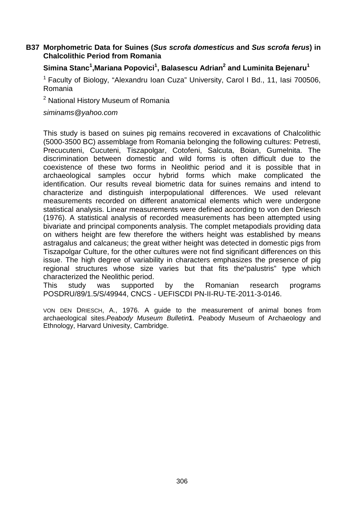## **B37 Morphometric Data for Suines (Sus scrofa domesticus and Sus scrofa ferus) in Chalcolithic Period from Romania**

## **Simina Stanc<sup>1</sup> ,Mariana Popovici<sup>1</sup> , Balasescu Adrian<sup>2</sup> and Luminita Bejenaru<sup>1</sup>**

 $1$  Faculty of Biology, "Alexandru Ioan Cuza" University, Carol I Bd., 11, Iasi 700506, Romania

<sup>2</sup> National History Museum of Romania

siminams@yahoo.com

This study is based on suines pig remains recovered in excavations of Chalcolithic (5000-3500 BC) assemblage from Romania belonging the following cultures: Petresti, Precucuteni, Cucuteni, Tiszapolgar, Cotofeni, Salcuta, Boian, Gumelnita. The discrimination between domestic and wild forms is often difficult due to the coexistence of these two forms in Neolithic period and it is possible that in archaeological samples occur hybrid forms which make complicated the identification. Our results reveal biometric data for suines remains and intend to characterize and distinguish interpopulational differences. We used relevant measurements recorded on different anatomical elements which were undergone statistical analysis. Linear measurements were defined according to von den Driesch (1976). A statistical analysis of recorded measurements has been attempted using bivariate and principal components analysis. The complet metapodials providing data on withers height are few therefore the withers height was established by means astragalus and calcaneus; the great wither height was detected in domestic pigs from Tiszapolgar Culture, for the other cultures were not find significant differences on this issue. The high degree of variability in characters emphasizes the presence of pig regional structures whose size varies but that fits the"palustris" type which characterized the Neolithic period.

This study was supported by the Romanian research programs POSDRU/89/1.5/S/49944, CNCS - UEFISCDI PN-II-RU-TE-2011-3-0146.

VON DEN DRIESCH, A., 1976. A guide to the measurement of animal bones from archaeological sites.Peabody Museum Bulletin**1**. Peabody Museum of Archaeology and Ethnology, Harvard Univesity, Cambridge.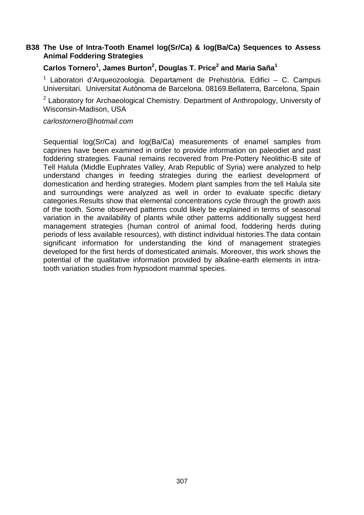## **B38 The Use of Intra-Tooth Enamel log(Sr/Ca) & log(Ba/Ca) Sequences to Assess Animal Foddering Strategies**

## **Carlos Tornero<sup>1</sup> , James Burton<sup>2</sup> , Douglas T. Price<sup>2</sup> and Maria Saña<sup>1</sup>**

<sup>1</sup> Laboratori d'Arqueozoologia. Departament de Prehistòria. Edifici – C. Campus Universitari. Universitat Autònoma de Barcelona. 08169.Bellaterra, Barcelona, Spain

<sup>2</sup> Laboratory for Archaeological Chemistry. Department of Anthropology, University of Wisconsin-Madison, USA

#### carlostornero@hotmail.com

Sequential log(Sr/Ca) and log(Ba/Ca) measurements of enamel samples from caprines have been examined in order to provide information on paleodiet and past foddering strategies. Faunal remains recovered from Pre-Pottery Neolithic-B site of Tell Halula (Middle Euphrates Valley, Arab Republic of Syria) were analyzed to help understand changes in feeding strategies during the earliest development of domestication and herding strategies. Modern plant samples from the tell Halula site and surroundings were analyzed as well in order to evaluate specific dietary categories.Results show that elemental concentrations cycle through the growth axis of the tooth. Some observed patterns could likely be explained in terms of seasonal variation in the availability of plants while other patterns additionally suggest herd management strategies (human control of animal food, foddering herds during periods of less available resources), with distinct individual histories.The data contain significant information for understanding the kind of management strategies developed for the first herds of domesticated animals. Moreover, this work shows the potential of the qualitative information provided by alkaline-earth elements in intratooth variation studies from hypsodont mammal species.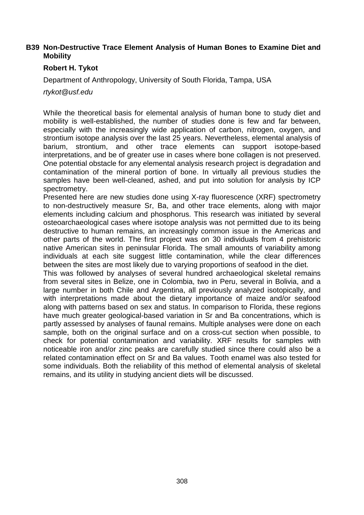## **B39 Non-Destructive Trace Element Analysis of Human Bones to Examine Diet and Mobility**

## **Robert H. Tykot**

Department of Anthropology, University of South Florida, Tampa, USA

rtykot@usf.edu

While the theoretical basis for elemental analysis of human bone to study diet and mobility is well-established, the number of studies done is few and far between, especially with the increasingly wide application of carbon, nitrogen, oxygen, and strontium isotope analysis over the last 25 years. Nevertheless, elemental analysis of barium, strontium, and other trace elements can support isotope-based interpretations, and be of greater use in cases where bone collagen is not preserved. One potential obstacle for any elemental analysis research project is degradation and contamination of the mineral portion of bone. In virtually all previous studies the samples have been well-cleaned, ashed, and put into solution for analysis by ICP spectrometry.

Presented here are new studies done using X-ray fluorescence (XRF) spectrometry to non-destructively measure Sr, Ba, and other trace elements, along with major elements including calcium and phosphorus. This research was initiated by several osteoarchaeological cases where isotope analysis was not permitted due to its being destructive to human remains, an increasingly common issue in the Americas and other parts of the world. The first project was on 30 individuals from 4 prehistoric native American sites in peninsular Florida. The small amounts of variability among individuals at each site suggest little contamination, while the clear differences between the sites are most likely due to varying proportions of seafood in the diet.

This was followed by analyses of several hundred archaeological skeletal remains from several sites in Belize, one in Colombia, two in Peru, several in Bolivia, and a large number in both Chile and Argentina, all previously analyzed isotopically, and with interpretations made about the dietary importance of maize and/or seafood along with patterns based on sex and status. In comparison to Florida, these regions have much greater geological-based variation in Sr and Ba concentrations, which is partly assessed by analyses of faunal remains. Multiple analyses were done on each sample, both on the original surface and on a cross-cut section when possible, to check for potential contamination and variability. XRF results for samples with noticeable iron and/or zinc peaks are carefully studied since there could also be a related contamination effect on Sr and Ba values. Tooth enamel was also tested for some individuals. Both the reliability of this method of elemental analysis of skeletal remains, and its utility in studying ancient diets will be discussed.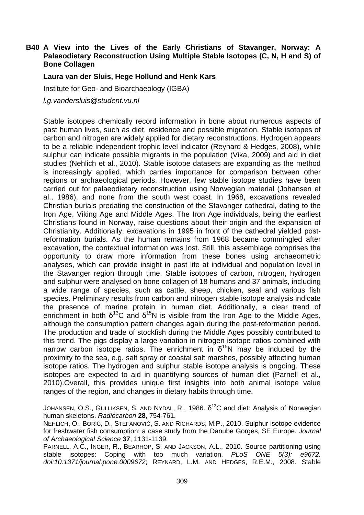## **B40 A View into the Lives of the Early Christians of Stavanger, Norway: A Palaeodietary Reconstruction Using Multiple Stable Isotopes (C, N, H and S) of Bone Collagen**

#### **Laura van der Sluis, Hege Hollund and Henk Kars**

Institute for Geo- and Bioarchaeology (IGBA)

l.g.vandersluis@student.vu.nl

Stable isotopes chemically record information in bone about numerous aspects of past human lives, such as diet, residence and possible migration. Stable isotopes of carbon and nitrogen are widely applied for dietary reconstructions. Hydrogen appears to be a reliable independent trophic level indicator (Reynard & Hedges, 2008), while sulphur can indicate possible migrants in the population (Vika, 2009) and aid in diet studies (Nehlich et al., 2010). Stable isotope datasets are expanding as the method is increasingly applied, which carries importance for comparison between other regions or archaeological periods. However, few stable isotope studies have been carried out for palaeodietary reconstruction using Norwegian material (Johansen et al., 1986), and none from the south west coast. In 1968, excavations revealed Christian burials predating the construction of the Stavanger cathedral, dating to the Iron Age, Viking Age and Middle Ages. The Iron Age individuals, being the earliest Christians found in Norway, raise questions about their origin and the expansion of Christianity. Additionally, excavations in 1995 in front of the cathedral yielded postreformation burials. As the human remains from 1968 became commingled after excavation, the contextual information was lost. Still, this assemblage comprises the opportunity to draw more information from these bones using archaeometric analyses, which can provide insight in past life at individual and population level in the Stavanger region through time. Stable isotopes of carbon, nitrogen, hydrogen and sulphur were analysed on bone collagen of 18 humans and 37 animals, including a wide range of species, such as cattle, sheep, chicken, seal and various fish species. Preliminary results from carbon and nitrogen stable isotope analysis indicate the presence of marine protein in human diet. Additionally, a clear trend of enrichment in both  $\delta^{13}C$  and  $\delta^{15}N$  is visible from the Iron Age to the Middle Ages, although the consumption pattern changes again during the post-reformation period. The production and trade of stockfish during the Middle Ages possibly contributed to this trend. The pigs display a large variation in nitrogen isotope ratios combined with narrow carbon isotope ratios. The enrichment in  $\delta^{15}N$  may be induced by the proximity to the sea, e.g. salt spray or coastal salt marshes, possibly affecting human isotope ratios. The hydrogen and sulphur stable isotope analysis is ongoing. These isotopes are expected to aid in quantifying sources of human diet (Parnell et al., 2010).Overall, this provides unique first insights into both animal isotope value ranges of the region, and changes in dietary habits through time.

JOHANSEN, O.S., GULLIKSEN, S. AND NYDAL, R., 1986.  $\delta^{13}$ C and diet: Analysis of Norwegian human skeletons. Radiocarbon **28**, 754-761.

NEHLICH, O., BORIĆ, D., STEFANOVIĆ, S. AND RICHARDS, M.P., 2010. Sulphur isotope evidence for freshwater fish consumption: a case study from the Danube Gorges, SE Europe. Journal of Archaeological Science **37**, 1131-1139.

PARNELL, A.C., INGER, R., BEARHOP, S. AND JACKSON, A.L., 2010. Source partitioning using stable isotopes: Coping with too much variation. PLoS ONE 5(3): e9672. doi:10.1371/journal.pone.0009672; REYNARD, L.M. AND HEDGES, R.E.M., 2008. Stable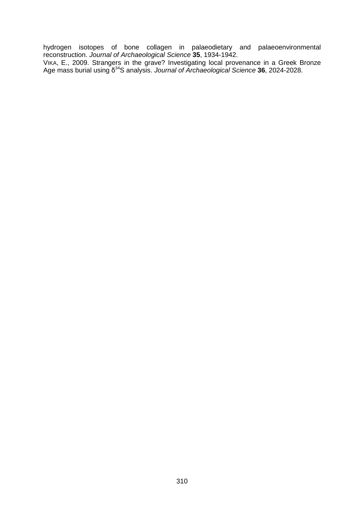hydrogen isotopes of bone collagen in palaeodietary and palaeoenvironmental reconstruction. Journal of Archaeological Science **35**, 1934-1942.

VIKA, E., 2009. Strangers in the grave? Investigating local provenance in a Greek Bronze Age mass burial using δ<sup>34</sup>S analysis. Journal of Archaeological Science 36, 2024-2028.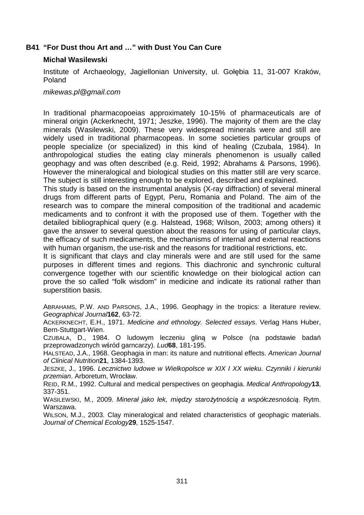## **B41 "For Dust thou Art and …" with Dust You Can Cure**

#### **Michał Wasilewski**

Institute of Archaeology, Jagiellonian University, ul. Gołębia 11, 31-007 Kraków, Poland

mikewas.pl@gmail.com

In traditional pharmacopoeias approximately 10-15% of pharmaceuticals are of mineral origin (Ackerknecht, 1971; Jeszke, 1996). The majority of them are the clay minerals (Wasilewski, 2009). These very widespread minerals were and still are widely used in traditional pharmacopeas. In some societies particular groups of people specialize (or specialized) in this kind of healing (Czubala, 1984). In anthropological studies the eating clay minerals phenomenon is usually called geophagy and was often described (e.g. Reid, 1992; Abrahams & Parsons, 1996). However the mineralogical and biological studies on this matter still are very scarce. The subject is still interesting enough to be explored, described and explained.

This study is based on the instrumental analysis (X-ray diffraction) of several mineral drugs from different parts of Egypt, Peru, Romania and Poland. The aim of the research was to compare the mineral composition of the traditional and academic medicaments and to confront it with the proposed use of them. Together with the detailed bibliographical query (e.g. Halstead, 1968; Wilson, 2003; among others) it gave the answer to several question about the reasons for using of particular clays, the efficacy of such medicaments, the mechanisms of internal and external reactions with human organism, the use-risk and the reasons for traditional restrictions, etc.

It is significant that clays and clay minerals were and are still used for the same purposes in different times and regions. This diachronic and synchronic cultural convergence together with our scientific knowledge on their biological action can prove the so called "folk wisdom" in medicine and indicate its rational rather than superstition basis.

ABRAHAMS, P.W. AND PARSONS, J.A., 1996. Geophagy in the tropics: a literature review. Geographical Journal**162**, 63-72.

ACKERKNECHT, E.H., 1971. Medicine and ethnology. Selected essays. Verlag Hans Huber, Bern-Stuttgart-Wien.

CZUBALA, D., 1984. O ludowym leczeniu gliną w Polsce (na podstawie badań przeprowadzonych wśród garncarzy). Lud**68**, 181-195.

HALSTEAD, J.A., 1968. Geophagia in man: its nature and nutritional effects. American Journal of Clinical Nutrition**21**, 1384-1393.

JESZKE, J., 1996. Lecznictwo ludowe w Wielkopolsce w XIX I XX wieku. Czynniki i kierunki przemian. Arboretum, Wrocław.

REID, R.M., 1992. Cultural and medical perspectives on geophagia. Medical Anthropology**13**, 337-351.

WASILEWSKI, M., 2009. Minerał jako lek, mi*ę*dzy staro*ż*ytno*ś*ci*ą* a współczesno*ś*ci*ą*. Rytm. Warszawa.

WILSON, M.J., 2003. Clay mineralogical and related characteristics of geophagic materials. Journal of Chemical Ecology**29**, 1525-1547.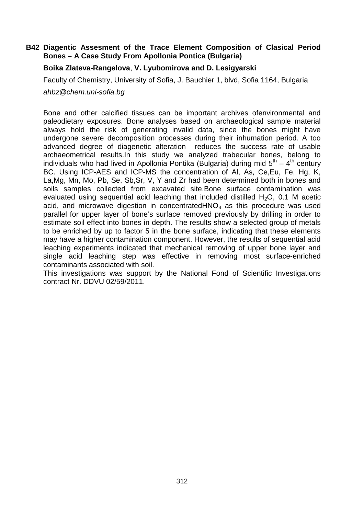## **B42 Diagentic Assesment of the Trace Element Composition of Clasical Period Bones – A Case Study From Apollonia Pontica (Bulgaria)**

## **Boika Zlateva-Rangelova**, **V. Lyubomirova and D. Lesigyarski**

Faculty of Chemistry, University of Sofia, J. Bauchier 1, blvd, Sofia 1164, Bulgaria

ahbz@chem.uni-sofia.bg

Bone and other calcified tissues can be important archives ofenvironmental and paleodietary exposures. Bone analyses based on archaeological sample material always hold the risk of generating invalid data, since the bones might have undergone severe decomposition processes during their inhumation period. A too advanced degree of diagenetic alteration reduces the success rate of usable archaeometrical results.In this study we analyzed trabecular bones, belong to individuals who had lived in Apollonia Pontika (Bulgaria) during mid  $5<sup>th</sup> - 4<sup>th</sup>$  century BC. Using ICP-AES and ICP-MS the concentration of Al, As, Ce, Eu, Fe, Hg, K, La,Mg, Mn, Mo, Pb, Se, Sb,Sr, V, Y and Zr had been determined both in bones and soils samples collected from excavated site.Bone surface contamination was evaluated using sequential acid leaching that included distilled  $H_2O$ , 0.1 M acetic acid, and microwave digestion in concentrated  $HNO<sub>3</sub>$  as this procedure was used parallel for upper layer of bone's surface removed previously by drilling in order to estimate soil effect into bones in depth. The results show a selected group of metals to be enriched by up to factor 5 in the bone surface, indicating that these elements may have a higher contamination component. However, the results of sequential acid leaching experiments indicated that mechanical removing of upper bone layer and single acid leaching step was effective in removing most surface-enriched contaminants associated with soil.

This investigations was support by the National Fond of Scientific Investigations contract Nr. DDVU 02/59/2011.